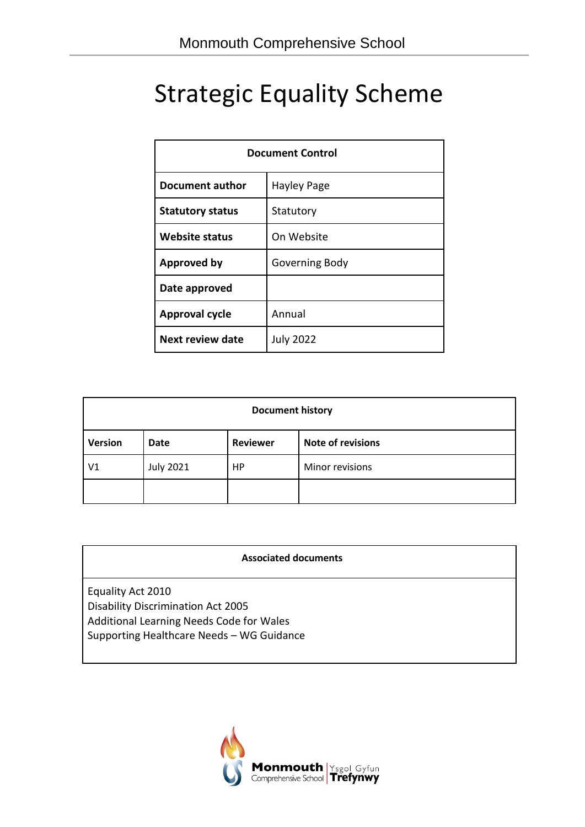# Strategic Equality Scheme

| <b>Document Control</b>        |                  |  |
|--------------------------------|------------------|--|
| Document author<br>Hayley Page |                  |  |
| <b>Statutory status</b>        | Statutory        |  |
| <b>Website status</b>          | On Website       |  |
| <b>Approved by</b>             | Governing Body   |  |
| Date approved                  |                  |  |
| <b>Approval cycle</b>          | Annual           |  |
| Next review date               | <b>July 2022</b> |  |

| <b>Document history</b>                                        |                  |    |                 |  |  |
|----------------------------------------------------------------|------------------|----|-----------------|--|--|
| <b>Note of revisions</b><br><b>Version</b><br>Reviewer<br>Date |                  |    |                 |  |  |
| V1                                                             | <b>July 2021</b> | HP | Minor revisions |  |  |
|                                                                |                  |    |                 |  |  |

Equality Act 2010 Disability Discrimination Act 2005 Additional Learning Needs Code for Wales Supporting Healthcare Needs – WG Guidance

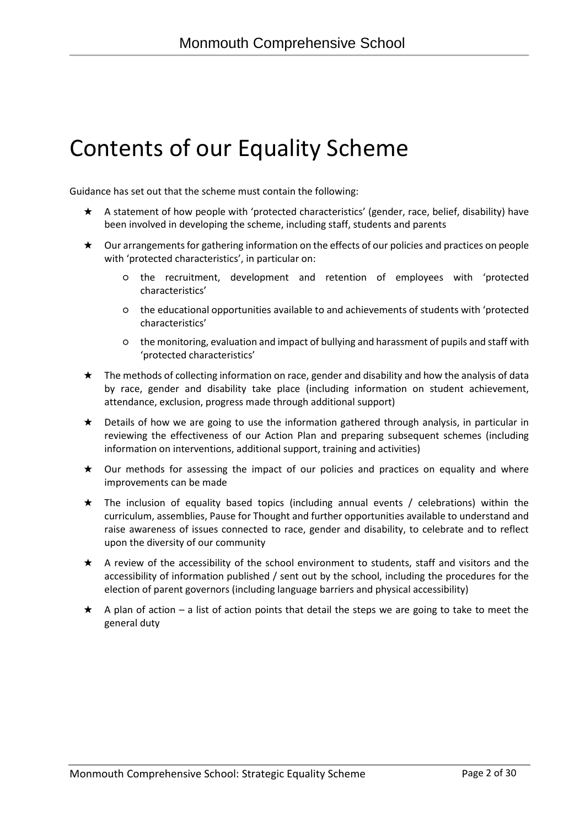# Contents of our Equality Scheme

Guidance has set out that the scheme must contain the following:

- ★ A statement of how people with 'protected characteristics' (gender, race, belief, disability) have been involved in developing the scheme, including staff, students and parents
- ★ Our arrangements for gathering information on the effects of our policies and practices on people with 'protected characteristics', in particular on:
	- the recruitment, development and retention of employees with 'protected characteristics'
	- the educational opportunities available to and achievements of students with 'protected characteristics'
	- the monitoring, evaluation and impact of bullying and harassment of pupils and staff with 'protected characteristics'
- ★ The methods of collecting information on race, gender and disability and how the analysis of data by race, gender and disability take place (including information on student achievement, attendance, exclusion, progress made through additional support)
- ★ Details of how we are going to use the information gathered through analysis, in particular in reviewing the effectiveness of our Action Plan and preparing subsequent schemes (including information on interventions, additional support, training and activities)
- ★ Our methods for assessing the impact of our policies and practices on equality and where improvements can be made
- ★ The inclusion of equality based topics (including annual events / celebrations) within the curriculum, assemblies, Pause for Thought and further opportunities available to understand and raise awareness of issues connected to race, gender and disability, to celebrate and to reflect upon the diversity of our community
- ★ A review of the accessibility of the school environment to students, staff and visitors and the accessibility of information published / sent out by the school, including the procedures for the election of parent governors (including language barriers and physical accessibility)
- $\star$  A plan of action a list of action points that detail the steps we are going to take to meet the general duty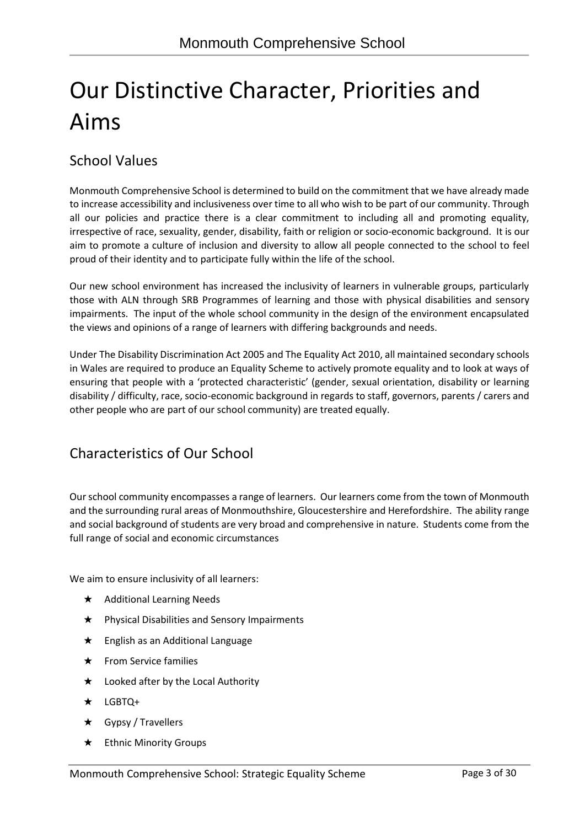# Our Distinctive Character, Priorities and Aims

### School Values

Monmouth Comprehensive School is determined to build on the commitment that we have already made to increase accessibility and inclusiveness over time to all who wish to be part of our community. Through all our policies and practice there is a clear commitment to including all and promoting equality, irrespective of race, sexuality, gender, disability, faith or religion or socio-economic background. It is our aim to promote a culture of inclusion and diversity to allow all people connected to the school to feel proud of their identity and to participate fully within the life of the school.

Our new school environment has increased the inclusivity of learners in vulnerable groups, particularly those with ALN through SRB Programmes of learning and those with physical disabilities and sensory impairments. The input of the whole school community in the design of the environment encapsulated the views and opinions of a range of learners with differing backgrounds and needs.

Under The Disability Discrimination Act 2005 and The Equality Act 2010, all maintained secondary schools in Wales are required to produce an Equality Scheme to actively promote equality and to look at ways of ensuring that people with a 'protected characteristic' (gender, sexual orientation, disability or learning disability / difficulty, race, socio-economic background in regards to staff, governors, parents / carers and other people who are part of our school community) are treated equally.

### Characteristics of Our School

Our school community encompasses a range of learners. Our learners come from the town of Monmouth and the surrounding rural areas of Monmouthshire, Gloucestershire and Herefordshire. The ability range and social background of students are very broad and comprehensive in nature. Students come from the full range of social and economic circumstances

We aim to ensure inclusivity of all learners:

- ★ Additional Learning Needs
- ★ Physical Disabilities and Sensory Impairments
- ★ English as an Additional Language
- ★ From Service families
- ★ Looked after by the Local Authority
- ★ LGBTQ+
- ★ Gypsy / Travellers
- ★ Ethnic Minority Groups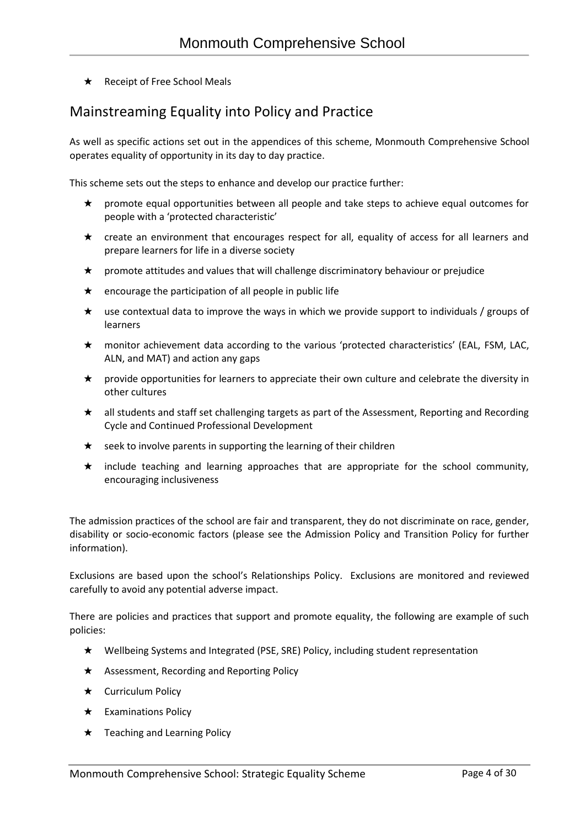★ Receipt of Free School Meals

### Mainstreaming Equality into Policy and Practice

As well as specific actions set out in the appendices of this scheme, Monmouth Comprehensive School operates equality of opportunity in its day to day practice.

This scheme sets out the steps to enhance and develop our practice further:

- ★ promote equal opportunities between all people and take steps to achieve equal outcomes for people with a 'protected characteristic'
- ★ create an environment that encourages respect for all, equality of access for all learners and prepare learners for life in a diverse society
- ★ promote attitudes and values that will challenge discriminatory behaviour or prejudice
- $\star$  encourage the participation of all people in public life
- $\star$  use contextual data to improve the ways in which we provide support to individuals / groups of learners
- ★ monitor achievement data according to the various 'protected characteristics' (EAL, FSM, LAC, ALN, and MAT) and action any gaps
- ★ provide opportunities for learners to appreciate their own culture and celebrate the diversity in other cultures
- ★ all students and staff set challenging targets as part of the Assessment, Reporting and Recording Cycle and Continued Professional Development
- $\star$  seek to involve parents in supporting the learning of their children
- ★ include teaching and learning approaches that are appropriate for the school community, encouraging inclusiveness

The admission practices of the school are fair and transparent, they do not discriminate on race, gender, disability or socio-economic factors (please see the Admission Policy and Transition Policy for further information).

Exclusions are based upon the school's Relationships Policy. Exclusions are monitored and reviewed carefully to avoid any potential adverse impact.

There are policies and practices that support and promote equality, the following are example of such policies:

- ★ Wellbeing Systems and Integrated (PSE, SRE) Policy, including student representation
- ★ Assessment, Recording and Reporting Policy
- ★ Curriculum Policy
- ★ Examinations Policy
- ★ Teaching and Learning Policy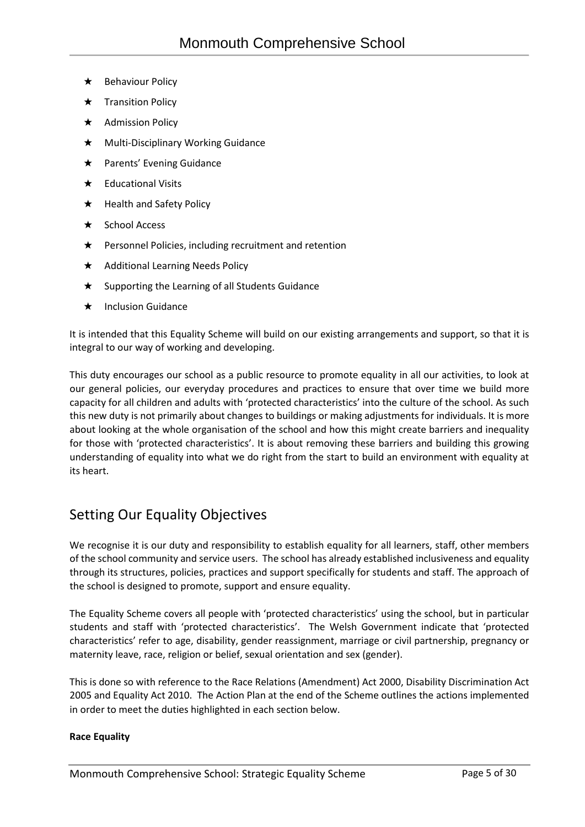- ★ Behaviour Policy
- ★ Transition Policy
- ★ Admission Policy
- ★ Multi-Disciplinary Working Guidance
- ★ Parents' Evening Guidance
- $\star$  Educational Visits
- ★ Health and Safety Policy
- ★ School Access
- ★ Personnel Policies, including recruitment and retention
- ★ Additional Learning Needs Policy
- ★ Supporting the Learning of all Students Guidance
- ★ Inclusion Guidance

It is intended that this Equality Scheme will build on our existing arrangements and support, so that it is integral to our way of working and developing.

This duty encourages our school as a public resource to promote equality in all our activities, to look at our general policies, our everyday procedures and practices to ensure that over time we build more capacity for all children and adults with 'protected characteristics' into the culture of the school. As such this new duty is not primarily about changes to buildings or making adjustments for individuals. It is more about looking at the whole organisation of the school and how this might create barriers and inequality for those with 'protected characteristics'. It is about removing these barriers and building this growing understanding of equality into what we do right from the start to build an environment with equality at its heart.

### Setting Our Equality Objectives

We recognise it is our duty and responsibility to establish equality for all learners, staff, other members of the school community and service users. The school has already established inclusiveness and equality through its structures, policies, practices and support specifically for students and staff. The approach of the school is designed to promote, support and ensure equality.

The Equality Scheme covers all people with 'protected characteristics' using the school, but in particular students and staff with 'protected characteristics'. The Welsh Government indicate that 'protected characteristics' refer to age, disability, gender reassignment, marriage or civil partnership, pregnancy or maternity leave, race, religion or belief, sexual orientation and sex (gender).

This is done so with reference to the Race Relations (Amendment) Act 2000, Disability Discrimination Act 2005 and Equality Act 2010. The Action Plan at the end of the Scheme outlines the actions implemented in order to meet the duties highlighted in each section below.

#### **Race Equality**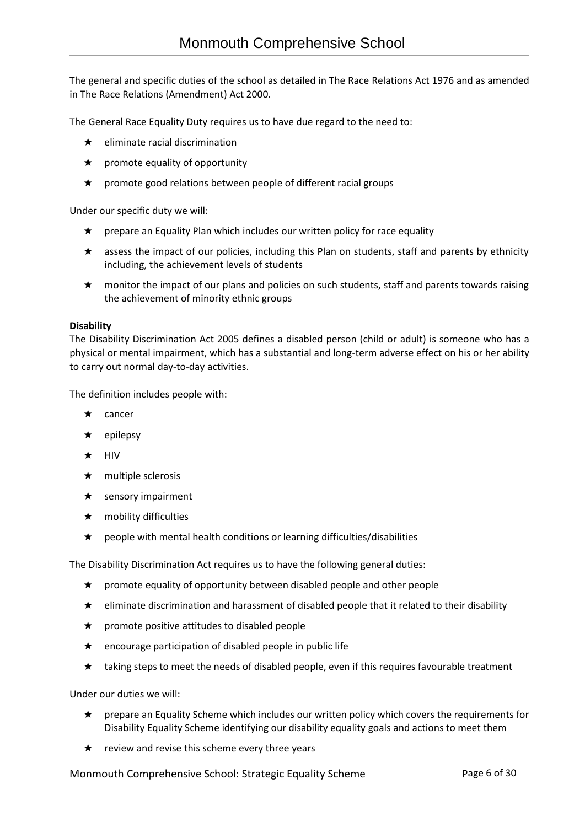The general and specific duties of the school as detailed in The Race Relations Act 1976 and as amended in The Race Relations (Amendment) Act 2000.

The General Race Equality Duty requires us to have due regard to the need to:

- $\star$  eliminate racial discrimination
- $\star$  promote equality of opportunity
- $\star$  promote good relations between people of different racial groups

Under our specific duty we will:

- $\star$  prepare an Equality Plan which includes our written policy for race equality
- ★ assess the impact of our policies, including this Plan on students, staff and parents by ethnicity including, the achievement levels of students
- ★ monitor the impact of our plans and policies on such students, staff and parents towards raising the achievement of minority ethnic groups

#### **Disability**

The Disability Discrimination Act 2005 defines a disabled person (child or adult) is someone who has a physical or mental impairment, which has a substantial and long-term adverse effect on his or her ability to carry out normal day-to-day activities.

The definition includes people with:

- ★ cancer
- ★ epilepsy
- ★ HIV
- $\star$  multiple sclerosis
- $\star$  sensory impairment
- ★ mobility difficulties
- $\star$  people with mental health conditions or learning difficulties/disabilities

The Disability Discrimination Act requires us to have the following general duties:

- ★ promote equality of opportunity between disabled people and other people
- ★ eliminate discrimination and harassment of disabled people that it related to their disability
- ★ promote positive attitudes to disabled people
- $\star$  encourage participation of disabled people in public life
- $\star$  taking steps to meet the needs of disabled people, even if this requires favourable treatment

Under our duties we will:

- ★ prepare an Equality Scheme which includes our written policy which covers the requirements for Disability Equality Scheme identifying our disability equality goals and actions to meet them
- $\star$  review and revise this scheme every three years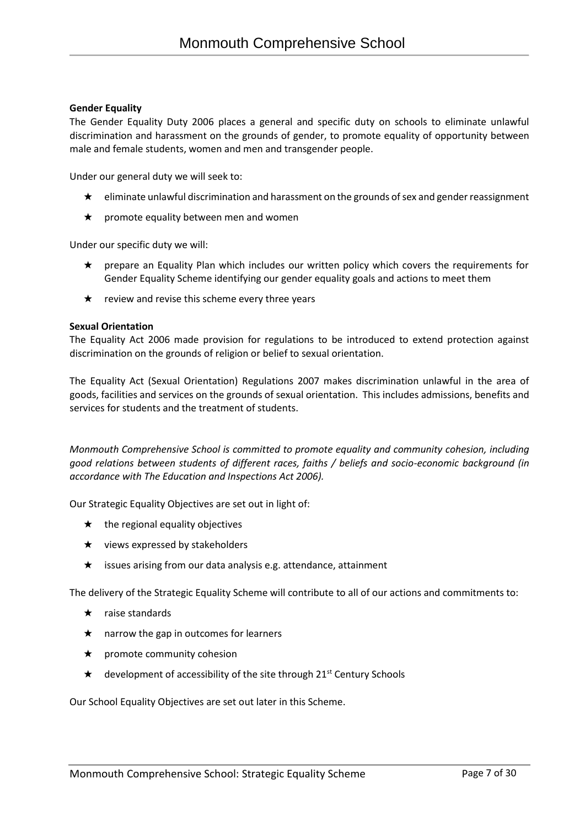#### **Gender Equality**

The Gender Equality Duty 2006 places a general and specific duty on schools to eliminate unlawful discrimination and harassment on the grounds of gender, to promote equality of opportunity between male and female students, women and men and transgender people.

Under our general duty we will seek to:

- ★ eliminate unlawful discrimination and harassment on the grounds of sex and gender reassignment
- $\star$  promote equality between men and women

Under our specific duty we will:

- ★ prepare an Equality Plan which includes our written policy which covers the requirements for Gender Equality Scheme identifying our gender equality goals and actions to meet them
- $\star$  review and revise this scheme every three years

#### **Sexual Orientation**

The Equality Act 2006 made provision for regulations to be introduced to extend protection against discrimination on the grounds of religion or belief to sexual orientation.

The Equality Act (Sexual Orientation) Regulations 2007 makes discrimination unlawful in the area of goods, facilities and services on the grounds of sexual orientation. This includes admissions, benefits and services for students and the treatment of students.

*Monmouth Comprehensive School is committed to promote equality and community cohesion, including good relations between students of different races, faiths / beliefs and socio-economic background (in accordance with The Education and Inspections Act 2006).*

Our Strategic Equality Objectives are set out in light of:

- $\star$  the regional equality objectives
- $\star$  views expressed by stakeholders
- ★ issues arising from our data analysis e.g. attendance, attainment

The delivery of the Strategic Equality Scheme will contribute to all of our actions and commitments to:

- ★ raise standards
- $\star$  narrow the gap in outcomes for learners
- ★ promote community cohesion
- $\star$  development of accessibility of the site through 21<sup>st</sup> Century Schools

Our School Equality Objectives are set out later in this Scheme.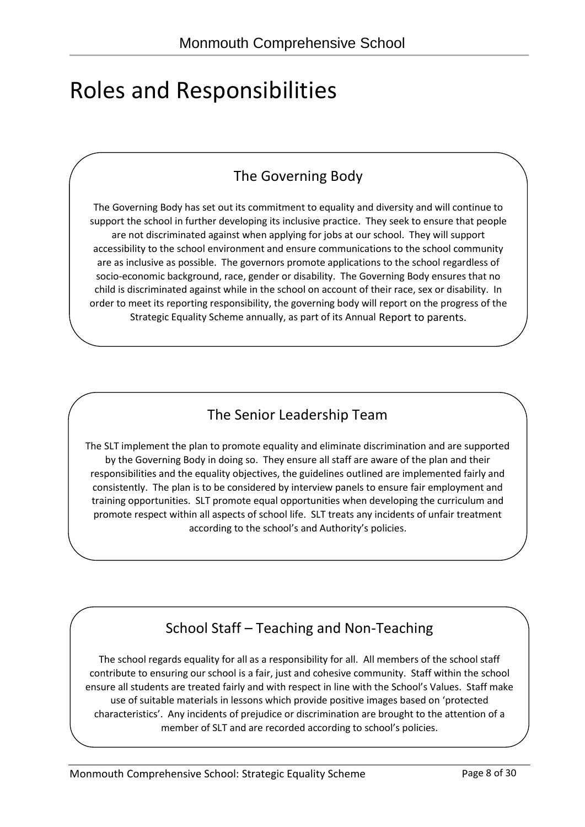# Roles and Responsibilities

### The Governing Body

The Governing Body has set out its commitment to equality and diversity and will continue to support the school in further developing its inclusive practice. They seek to ensure that people are not discriminated against when applying for jobs at our school. They will support accessibility to the school environment and ensure communications to the school community are as inclusive as possible. The governors promote applications to the school regardless of socio-economic background, race, gender or disability. The Governing Body ensures that no child is discriminated against while in the school on account of their race, sex or disability. In order to meet its reporting responsibility, the governing body will report on the progress of the Strategic Equality Scheme annually, as part of its Annual Report to parents.

### The Senior Leadership Team

The SLT implement the plan to promote equality and eliminate discrimination and are supported by the Governing Body in doing so. They ensure all staff are aware of the plan and their responsibilities and the equality objectives, the guidelines outlined are implemented fairly and consistently. The plan is to be considered by interview panels to ensure fair employment and training opportunities. SLT promote equal opportunities when developing the curriculum and promote respect within all aspects of school life. SLT treats any incidents of unfair treatment according to the school's and Authority's policies.

### School Staff – Teaching and Non-Teaching

The school regards equality for all as a responsibility for all. All members of the school staff contribute to ensuring our school is a fair, just and cohesive community. Staff within the school ensure all students are treated fairly and with respect in line with the School's Values. Staff make use of suitable materials in lessons which provide positive images based on 'protected characteristics'. Any incidents of prejudice or discrimination are brought to the attention of a member of SLT and are recorded according to school's policies.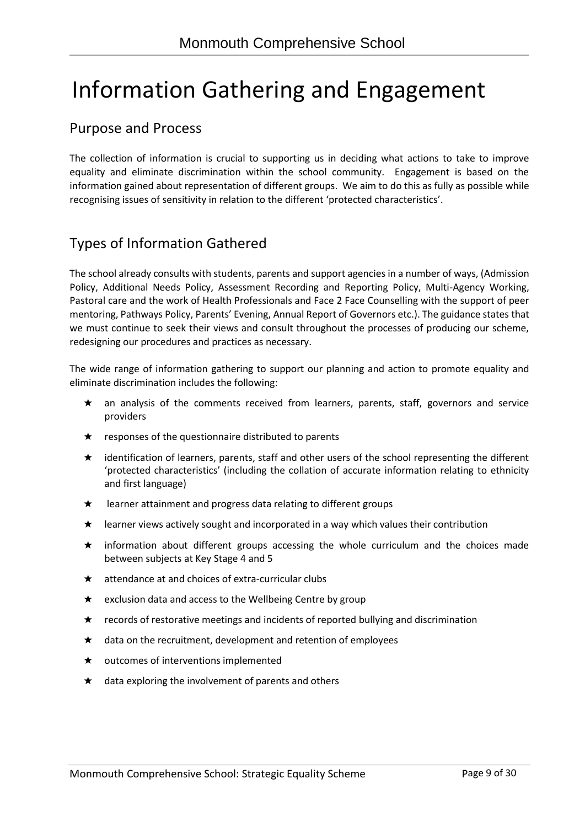# Information Gathering and Engagement

### Purpose and Process

The collection of information is crucial to supporting us in deciding what actions to take to improve equality and eliminate discrimination within the school community. Engagement is based on the information gained about representation of different groups. We aim to do this as fully as possible while recognising issues of sensitivity in relation to the different 'protected characteristics'.

### Types of Information Gathered

The school already consults with students, parents and support agencies in a number of ways, (Admission Policy, Additional Needs Policy, Assessment Recording and Reporting Policy, Multi-Agency Working, Pastoral care and the work of Health Professionals and Face 2 Face Counselling with the support of peer mentoring, Pathways Policy, Parents' Evening, Annual Report of Governors etc.). The guidance states that we must continue to seek their views and consult throughout the processes of producing our scheme, redesigning our procedures and practices as necessary.

The wide range of information gathering to support our planning and action to promote equality and eliminate discrimination includes the following:

- ★ an analysis of the comments received from learners, parents, staff, governors and service providers
- $\star$  responses of the questionnaire distributed to parents
- ★ identification of learners, parents, staff and other users of the school representing the different 'protected characteristics' (including the collation of accurate information relating to ethnicity and first language)
- $\star$  learner attainment and progress data relating to different groups
- ★ learner views actively sought and incorporated in a way which values their contribution
- ★ information about different groups accessing the whole curriculum and the choices made between subjects at Key Stage 4 and 5
- ★ attendance at and choices of extra-curricular clubs
- ★ exclusion data and access to the Wellbeing Centre by group
- ★ records of restorative meetings and incidents of reported bullying and discrimination
- ★ data on the recruitment, development and retention of employees
- ★ outcomes of interventions implemented
- $\star$  data exploring the involvement of parents and others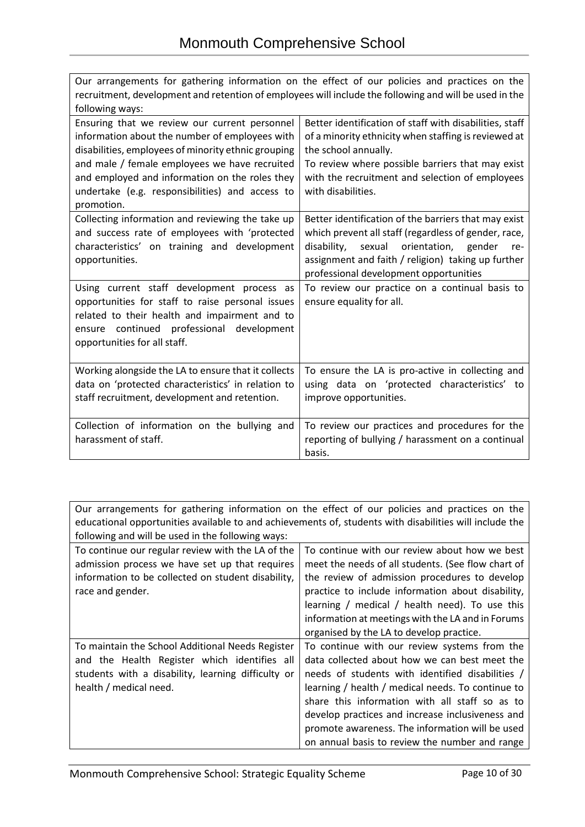| recruitment, development and retention of employees will include the following and will be used in the<br>following ways:<br>Ensuring that we review our current personnel<br>Better identification of staff with disabilities, staff<br>information about the number of employees with<br>of a minority ethnicity when staffing is reviewed at<br>disabilities, employees of minority ethnic grouping<br>the school annually.<br>and male / female employees we have recruited<br>To review where possible barriers that may exist<br>with the recruitment and selection of employees<br>and employed and information on the roles they<br>undertake (e.g. responsibilities) and access to<br>with disabilities.<br>promotion.<br>Collecting information and reviewing the take up<br>Better identification of the barriers that may exist<br>and success rate of employees with 'protected<br>which prevent all staff (regardless of gender, race,<br>characteristics' on training and development<br>disability, sexual orientation, gender<br>re-<br>assignment and faith / religion) taking up further<br>opportunities.<br>professional development opportunities<br>Using current staff development process as<br>To review our practice on a continual basis to<br>opportunities for staff to raise personal issues<br>ensure equality for all.<br>related to their health and impairment and to<br>ensure continued professional development<br>opportunities for all staff.<br>To ensure the LA is pro-active in collecting and<br>Working alongside the LA to ensure that it collects<br>data on 'protected characteristics' in relation to<br>using data on 'protected characteristics' to<br>staff recruitment, development and retention.<br>improve opportunities.<br>Collection of information on the bullying and<br>To review our practices and procedures for the<br>harassment of staff.<br>reporting of bullying / harassment on a continual<br>basis. | Our arrangements for gathering information on the effect of our policies and practices on the |  |  |  |  |
|-----------------------------------------------------------------------------------------------------------------------------------------------------------------------------------------------------------------------------------------------------------------------------------------------------------------------------------------------------------------------------------------------------------------------------------------------------------------------------------------------------------------------------------------------------------------------------------------------------------------------------------------------------------------------------------------------------------------------------------------------------------------------------------------------------------------------------------------------------------------------------------------------------------------------------------------------------------------------------------------------------------------------------------------------------------------------------------------------------------------------------------------------------------------------------------------------------------------------------------------------------------------------------------------------------------------------------------------------------------------------------------------------------------------------------------------------------------------------------------------------------------------------------------------------------------------------------------------------------------------------------------------------------------------------------------------------------------------------------------------------------------------------------------------------------------------------------------------------------------------------------------------------------------------------------------------------------------------------------|-----------------------------------------------------------------------------------------------|--|--|--|--|
|                                                                                                                                                                                                                                                                                                                                                                                                                                                                                                                                                                                                                                                                                                                                                                                                                                                                                                                                                                                                                                                                                                                                                                                                                                                                                                                                                                                                                                                                                                                                                                                                                                                                                                                                                                                                                                                                                                                                                                             |                                                                                               |  |  |  |  |
|                                                                                                                                                                                                                                                                                                                                                                                                                                                                                                                                                                                                                                                                                                                                                                                                                                                                                                                                                                                                                                                                                                                                                                                                                                                                                                                                                                                                                                                                                                                                                                                                                                                                                                                                                                                                                                                                                                                                                                             |                                                                                               |  |  |  |  |
|                                                                                                                                                                                                                                                                                                                                                                                                                                                                                                                                                                                                                                                                                                                                                                                                                                                                                                                                                                                                                                                                                                                                                                                                                                                                                                                                                                                                                                                                                                                                                                                                                                                                                                                                                                                                                                                                                                                                                                             |                                                                                               |  |  |  |  |
|                                                                                                                                                                                                                                                                                                                                                                                                                                                                                                                                                                                                                                                                                                                                                                                                                                                                                                                                                                                                                                                                                                                                                                                                                                                                                                                                                                                                                                                                                                                                                                                                                                                                                                                                                                                                                                                                                                                                                                             |                                                                                               |  |  |  |  |
|                                                                                                                                                                                                                                                                                                                                                                                                                                                                                                                                                                                                                                                                                                                                                                                                                                                                                                                                                                                                                                                                                                                                                                                                                                                                                                                                                                                                                                                                                                                                                                                                                                                                                                                                                                                                                                                                                                                                                                             |                                                                                               |  |  |  |  |
|                                                                                                                                                                                                                                                                                                                                                                                                                                                                                                                                                                                                                                                                                                                                                                                                                                                                                                                                                                                                                                                                                                                                                                                                                                                                                                                                                                                                                                                                                                                                                                                                                                                                                                                                                                                                                                                                                                                                                                             |                                                                                               |  |  |  |  |
|                                                                                                                                                                                                                                                                                                                                                                                                                                                                                                                                                                                                                                                                                                                                                                                                                                                                                                                                                                                                                                                                                                                                                                                                                                                                                                                                                                                                                                                                                                                                                                                                                                                                                                                                                                                                                                                                                                                                                                             |                                                                                               |  |  |  |  |
|                                                                                                                                                                                                                                                                                                                                                                                                                                                                                                                                                                                                                                                                                                                                                                                                                                                                                                                                                                                                                                                                                                                                                                                                                                                                                                                                                                                                                                                                                                                                                                                                                                                                                                                                                                                                                                                                                                                                                                             |                                                                                               |  |  |  |  |
|                                                                                                                                                                                                                                                                                                                                                                                                                                                                                                                                                                                                                                                                                                                                                                                                                                                                                                                                                                                                                                                                                                                                                                                                                                                                                                                                                                                                                                                                                                                                                                                                                                                                                                                                                                                                                                                                                                                                                                             |                                                                                               |  |  |  |  |
|                                                                                                                                                                                                                                                                                                                                                                                                                                                                                                                                                                                                                                                                                                                                                                                                                                                                                                                                                                                                                                                                                                                                                                                                                                                                                                                                                                                                                                                                                                                                                                                                                                                                                                                                                                                                                                                                                                                                                                             |                                                                                               |  |  |  |  |
|                                                                                                                                                                                                                                                                                                                                                                                                                                                                                                                                                                                                                                                                                                                                                                                                                                                                                                                                                                                                                                                                                                                                                                                                                                                                                                                                                                                                                                                                                                                                                                                                                                                                                                                                                                                                                                                                                                                                                                             |                                                                                               |  |  |  |  |
|                                                                                                                                                                                                                                                                                                                                                                                                                                                                                                                                                                                                                                                                                                                                                                                                                                                                                                                                                                                                                                                                                                                                                                                                                                                                                                                                                                                                                                                                                                                                                                                                                                                                                                                                                                                                                                                                                                                                                                             |                                                                                               |  |  |  |  |
|                                                                                                                                                                                                                                                                                                                                                                                                                                                                                                                                                                                                                                                                                                                                                                                                                                                                                                                                                                                                                                                                                                                                                                                                                                                                                                                                                                                                                                                                                                                                                                                                                                                                                                                                                                                                                                                                                                                                                                             |                                                                                               |  |  |  |  |
|                                                                                                                                                                                                                                                                                                                                                                                                                                                                                                                                                                                                                                                                                                                                                                                                                                                                                                                                                                                                                                                                                                                                                                                                                                                                                                                                                                                                                                                                                                                                                                                                                                                                                                                                                                                                                                                                                                                                                                             |                                                                                               |  |  |  |  |
|                                                                                                                                                                                                                                                                                                                                                                                                                                                                                                                                                                                                                                                                                                                                                                                                                                                                                                                                                                                                                                                                                                                                                                                                                                                                                                                                                                                                                                                                                                                                                                                                                                                                                                                                                                                                                                                                                                                                                                             |                                                                                               |  |  |  |  |
|                                                                                                                                                                                                                                                                                                                                                                                                                                                                                                                                                                                                                                                                                                                                                                                                                                                                                                                                                                                                                                                                                                                                                                                                                                                                                                                                                                                                                                                                                                                                                                                                                                                                                                                                                                                                                                                                                                                                                                             |                                                                                               |  |  |  |  |
|                                                                                                                                                                                                                                                                                                                                                                                                                                                                                                                                                                                                                                                                                                                                                                                                                                                                                                                                                                                                                                                                                                                                                                                                                                                                                                                                                                                                                                                                                                                                                                                                                                                                                                                                                                                                                                                                                                                                                                             |                                                                                               |  |  |  |  |
|                                                                                                                                                                                                                                                                                                                                                                                                                                                                                                                                                                                                                                                                                                                                                                                                                                                                                                                                                                                                                                                                                                                                                                                                                                                                                                                                                                                                                                                                                                                                                                                                                                                                                                                                                                                                                                                                                                                                                                             |                                                                                               |  |  |  |  |
|                                                                                                                                                                                                                                                                                                                                                                                                                                                                                                                                                                                                                                                                                                                                                                                                                                                                                                                                                                                                                                                                                                                                                                                                                                                                                                                                                                                                                                                                                                                                                                                                                                                                                                                                                                                                                                                                                                                                                                             |                                                                                               |  |  |  |  |
|                                                                                                                                                                                                                                                                                                                                                                                                                                                                                                                                                                                                                                                                                                                                                                                                                                                                                                                                                                                                                                                                                                                                                                                                                                                                                                                                                                                                                                                                                                                                                                                                                                                                                                                                                                                                                                                                                                                                                                             |                                                                                               |  |  |  |  |
|                                                                                                                                                                                                                                                                                                                                                                                                                                                                                                                                                                                                                                                                                                                                                                                                                                                                                                                                                                                                                                                                                                                                                                                                                                                                                                                                                                                                                                                                                                                                                                                                                                                                                                                                                                                                                                                                                                                                                                             |                                                                                               |  |  |  |  |
|                                                                                                                                                                                                                                                                                                                                                                                                                                                                                                                                                                                                                                                                                                                                                                                                                                                                                                                                                                                                                                                                                                                                                                                                                                                                                                                                                                                                                                                                                                                                                                                                                                                                                                                                                                                                                                                                                                                                                                             |                                                                                               |  |  |  |  |
|                                                                                                                                                                                                                                                                                                                                                                                                                                                                                                                                                                                                                                                                                                                                                                                                                                                                                                                                                                                                                                                                                                                                                                                                                                                                                                                                                                                                                                                                                                                                                                                                                                                                                                                                                                                                                                                                                                                                                                             |                                                                                               |  |  |  |  |
|                                                                                                                                                                                                                                                                                                                                                                                                                                                                                                                                                                                                                                                                                                                                                                                                                                                                                                                                                                                                                                                                                                                                                                                                                                                                                                                                                                                                                                                                                                                                                                                                                                                                                                                                                                                                                                                                                                                                                                             |                                                                                               |  |  |  |  |
|                                                                                                                                                                                                                                                                                                                                                                                                                                                                                                                                                                                                                                                                                                                                                                                                                                                                                                                                                                                                                                                                                                                                                                                                                                                                                                                                                                                                                                                                                                                                                                                                                                                                                                                                                                                                                                                                                                                                                                             |                                                                                               |  |  |  |  |
|                                                                                                                                                                                                                                                                                                                                                                                                                                                                                                                                                                                                                                                                                                                                                                                                                                                                                                                                                                                                                                                                                                                                                                                                                                                                                                                                                                                                                                                                                                                                                                                                                                                                                                                                                                                                                                                                                                                                                                             |                                                                                               |  |  |  |  |
|                                                                                                                                                                                                                                                                                                                                                                                                                                                                                                                                                                                                                                                                                                                                                                                                                                                                                                                                                                                                                                                                                                                                                                                                                                                                                                                                                                                                                                                                                                                                                                                                                                                                                                                                                                                                                                                                                                                                                                             |                                                                                               |  |  |  |  |

| Our arrangements for gathering information on the effect of our policies and practices on the<br>educational opportunities available to and achievements of, students with disabilities will include the<br>following and will be used in the following ways:                                                                                                                                                                                                                                                                                                                                                                                     |                                                                                                                                                                                                                                                                                                                  |  |  |
|---------------------------------------------------------------------------------------------------------------------------------------------------------------------------------------------------------------------------------------------------------------------------------------------------------------------------------------------------------------------------------------------------------------------------------------------------------------------------------------------------------------------------------------------------------------------------------------------------------------------------------------------------|------------------------------------------------------------------------------------------------------------------------------------------------------------------------------------------------------------------------------------------------------------------------------------------------------------------|--|--|
| To continue our regular review with the LA of the<br>admission process we have set up that requires<br>information to be collected on student disability,<br>race and gender.                                                                                                                                                                                                                                                                                                                                                                                                                                                                     | To continue with our review about how we best<br>meet the needs of all students. (See flow chart of<br>the review of admission procedures to develop<br>practice to include information about disability,<br>learning / medical / health need). To use this<br>information at meetings with the LA and in Forums |  |  |
| organised by the LA to develop practice.<br>To continue with our review systems from the<br>To maintain the School Additional Needs Register<br>data collected about how we can best meet the<br>and the Health Register which identifies all<br>students with a disability, learning difficulty or<br>needs of students with identified disabilities /<br>health / medical need.<br>learning / health / medical needs. To continue to<br>share this information with all staff so as to<br>develop practices and increase inclusiveness and<br>promote awareness. The information will be used<br>on annual basis to review the number and range |                                                                                                                                                                                                                                                                                                                  |  |  |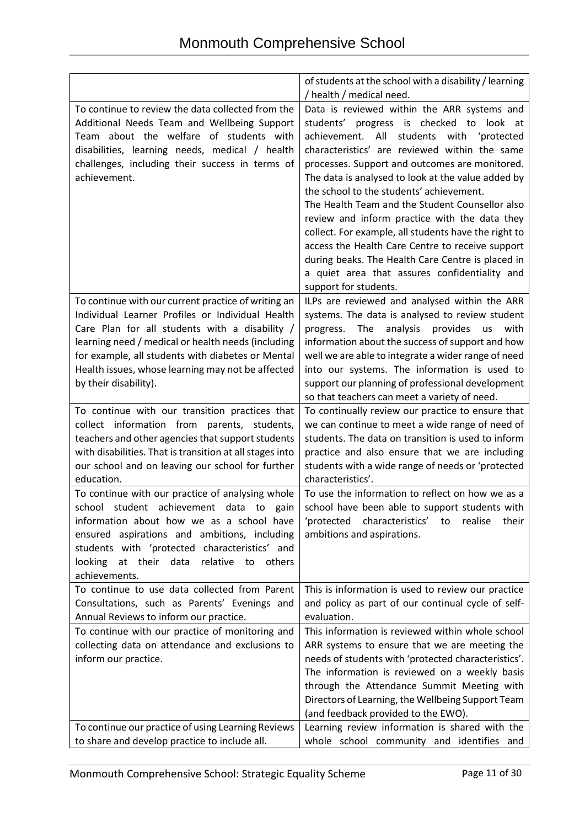|                                                                                                  | of students at the school with a disability / learning                                                |
|--------------------------------------------------------------------------------------------------|-------------------------------------------------------------------------------------------------------|
|                                                                                                  | / health / medical need.                                                                              |
| To continue to review the data collected from the                                                | Data is reviewed within the ARR systems and                                                           |
| Additional Needs Team and Wellbeing Support                                                      | progress is checked<br>to look at<br>students'                                                        |
| Team about the welfare of students with                                                          | All<br>students with 'protected<br>achievement.                                                       |
| disabilities, learning needs, medical / health                                                   | characteristics' are reviewed within the same                                                         |
| challenges, including their success in terms of                                                  | processes. Support and outcomes are monitored.                                                        |
| achievement.                                                                                     | The data is analysed to look at the value added by                                                    |
|                                                                                                  | the school to the students' achievement.                                                              |
|                                                                                                  | The Health Team and the Student Counsellor also                                                       |
|                                                                                                  | review and inform practice with the data they                                                         |
|                                                                                                  | collect. For example, all students have the right to                                                  |
|                                                                                                  | access the Health Care Centre to receive support                                                      |
|                                                                                                  | during beaks. The Health Care Centre is placed in                                                     |
|                                                                                                  | a quiet area that assures confidentiality and                                                         |
|                                                                                                  | support for students.                                                                                 |
| To continue with our current practice of writing an                                              | ILPs are reviewed and analysed within the ARR                                                         |
| Individual Learner Profiles or Individual Health                                                 | systems. The data is analysed to review student                                                       |
| Care Plan for all students with a disability /                                                   | The<br>analysis<br>provides<br>with<br>us<br>progress.                                                |
| learning need / medical or health needs (including                                               | information about the success of support and how                                                      |
| for example, all students with diabetes or Mental                                                | well we are able to integrate a wider range of need                                                   |
| Health issues, whose learning may not be affected                                                | into our systems. The information is used to                                                          |
| by their disability).                                                                            | support our planning of professional development                                                      |
|                                                                                                  | so that teachers can meet a variety of need.                                                          |
| To continue with our transition practices that                                                   | To continually review our practice to ensure that                                                     |
| collect information from parents, students,<br>teachers and other agencies that support students | we can continue to meet a wide range of need of<br>students. The data on transition is used to inform |
| with disabilities. That is transition at all stages into                                         | practice and also ensure that we are including                                                        |
| our school and on leaving our school for further                                                 | students with a wide range of needs or 'protected                                                     |
| education.                                                                                       | characteristics'.                                                                                     |
| To continue with our practice of analysing whole                                                 | To use the information to reflect on how we as a                                                      |
| school student achievement data to<br>gain                                                       | school have been able to support students with                                                        |
| information about how we as a school have                                                        | 'protected characteristics'<br>realise<br>their<br>to                                                 |
| ensured aspirations and ambitions, including                                                     | ambitions and aspirations.                                                                            |
| students with 'protected characteristics' and                                                    |                                                                                                       |
| at their<br>looking<br>data<br>relative<br>others<br>to                                          |                                                                                                       |
| achievements.                                                                                    |                                                                                                       |
| To continue to use data collected from Parent                                                    | This is information is used to review our practice                                                    |
| Consultations, such as Parents' Evenings and                                                     | and policy as part of our continual cycle of self-                                                    |
| Annual Reviews to inform our practice.                                                           | evaluation.                                                                                           |
| To continue with our practice of monitoring and                                                  | This information is reviewed within whole school                                                      |
| collecting data on attendance and exclusions to                                                  | ARR systems to ensure that we are meeting the                                                         |
| inform our practice.                                                                             | needs of students with 'protected characteristics'.                                                   |
|                                                                                                  | The information is reviewed on a weekly basis                                                         |
|                                                                                                  | through the Attendance Summit Meeting with                                                            |
|                                                                                                  | Directors of Learning, the Wellbeing Support Team                                                     |
|                                                                                                  | (and feedback provided to the EWO).                                                                   |
| To continue our practice of using Learning Reviews                                               | Learning review information is shared with the                                                        |
| to share and develop practice to include all.                                                    | whole school community and identifies and                                                             |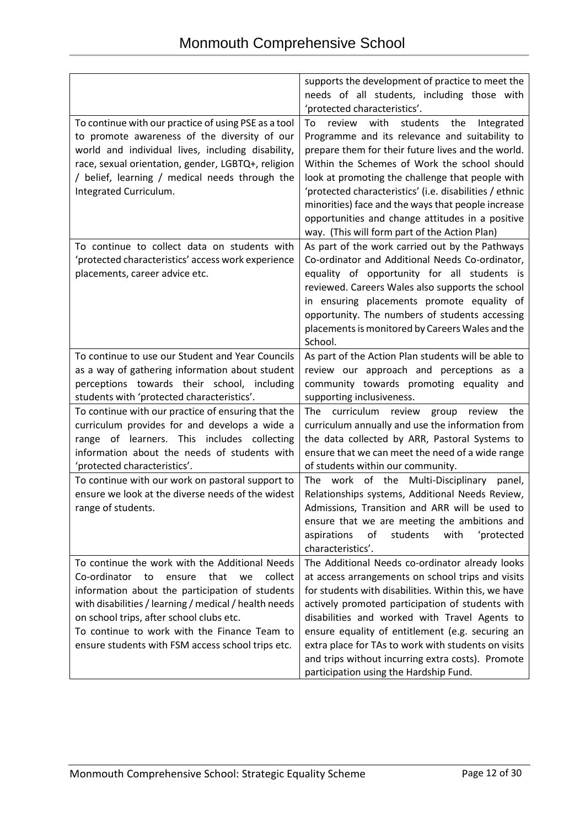|                                                                                                                                                                                                                                                                                                                                                                      | supports the development of practice to meet the<br>needs of all students, including those with                                                                                                                                                                                                                                                                                                                                                                                         |
|----------------------------------------------------------------------------------------------------------------------------------------------------------------------------------------------------------------------------------------------------------------------------------------------------------------------------------------------------------------------|-----------------------------------------------------------------------------------------------------------------------------------------------------------------------------------------------------------------------------------------------------------------------------------------------------------------------------------------------------------------------------------------------------------------------------------------------------------------------------------------|
|                                                                                                                                                                                                                                                                                                                                                                      | 'protected characteristics'.                                                                                                                                                                                                                                                                                                                                                                                                                                                            |
| To continue with our practice of using PSE as a tool<br>to promote awareness of the diversity of our<br>world and individual lives, including disability,<br>race, sexual orientation, gender, LGBTQ+, religion<br>/ belief, learning / medical needs through the<br>Integrated Curriculum.                                                                          | review<br>with<br>To<br>students<br>the<br>Integrated<br>Programme and its relevance and suitability to<br>prepare them for their future lives and the world.<br>Within the Schemes of Work the school should<br>look at promoting the challenge that people with<br>'protected characteristics' (i.e. disabilities / ethnic<br>minorities) face and the ways that people increase<br>opportunities and change attitudes in a positive<br>way. (This will form part of the Action Plan) |
| To continue to collect data on students with<br>'protected characteristics' access work experience<br>placements, career advice etc.                                                                                                                                                                                                                                 | As part of the work carried out by the Pathways<br>Co-ordinator and Additional Needs Co-ordinator,<br>equality of opportunity for all students is<br>reviewed. Careers Wales also supports the school<br>in ensuring placements promote equality of<br>opportunity. The numbers of students accessing<br>placements is monitored by Careers Wales and the<br>School.                                                                                                                    |
| To continue to use our Student and Year Councils<br>as a way of gathering information about student<br>perceptions towards their school, including                                                                                                                                                                                                                   | As part of the Action Plan students will be able to<br>review our approach and perceptions as a<br>community towards promoting equality and                                                                                                                                                                                                                                                                                                                                             |
| students with 'protected characteristics'.                                                                                                                                                                                                                                                                                                                           | supporting inclusiveness.                                                                                                                                                                                                                                                                                                                                                                                                                                                               |
| To continue with our practice of ensuring that the<br>curriculum provides for and develops a wide a<br>range of learners. This includes collecting<br>information about the needs of students with<br>'protected characteristics'.                                                                                                                                   | The curriculum review<br>group<br>the<br>review<br>curriculum annually and use the information from<br>the data collected by ARR, Pastoral Systems to<br>ensure that we can meet the need of a wide range<br>of students within our community.                                                                                                                                                                                                                                          |
| To continue with our work on pastoral support to<br>ensure we look at the diverse needs of the widest<br>range of students.                                                                                                                                                                                                                                          | The work of the Multi-Disciplinary panel,<br>Relationships systems, Additional Needs Review,<br>Admissions, Transition and ARR will be used to<br>ensure that we are meeting the ambitions and<br>aspirations<br>of<br>students<br>with<br>'protected<br>characteristics'.                                                                                                                                                                                                              |
| To continue the work with the Additional Needs<br>Co-ordinator<br>that<br>collect<br>to<br>ensure<br>we<br>information about the participation of students<br>with disabilities / learning / medical / health needs<br>on school trips, after school clubs etc.<br>To continue to work with the Finance Team to<br>ensure students with FSM access school trips etc. | The Additional Needs co-ordinator already looks<br>at access arrangements on school trips and visits<br>for students with disabilities. Within this, we have<br>actively promoted participation of students with<br>disabilities and worked with Travel Agents to<br>ensure equality of entitlement (e.g. securing an<br>extra place for TAs to work with students on visits<br>and trips without incurring extra costs). Promote<br>participation using the Hardship Fund.             |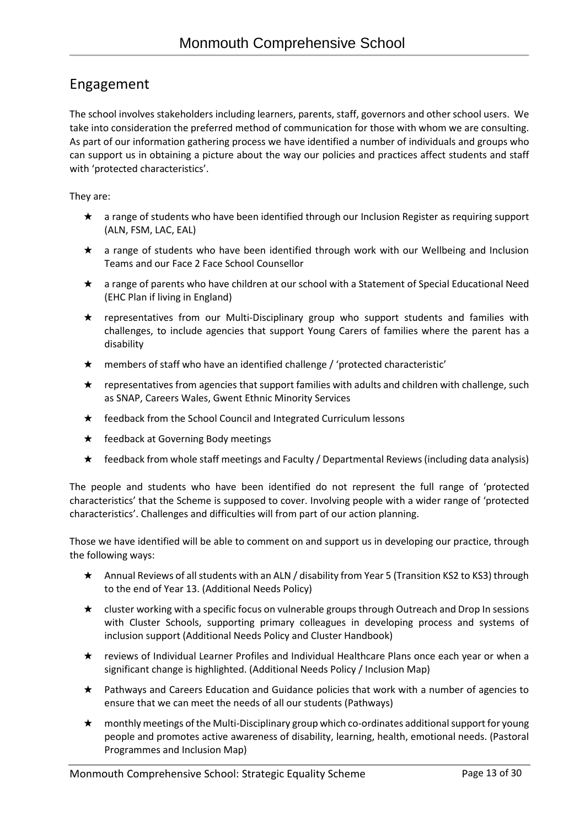### Engagement

The school involves stakeholders including learners, parents, staff, governors and other school users. We take into consideration the preferred method of communication for those with whom we are consulting. As part of our information gathering process we have identified a number of individuals and groups who can support us in obtaining a picture about the way our policies and practices affect students and staff with 'protected characteristics'.

They are:

- ★ a range of students who have been identified through our Inclusion Register as requiring support (ALN, FSM, LAC, EAL)
- ★ a range of students who have been identified through work with our Wellbeing and Inclusion Teams and our Face 2 Face School Counsellor
- ★ a range of parents who have children at our school with a Statement of Special Educational Need (EHC Plan if living in England)
- ★ representatives from our Multi-Disciplinary group who support students and families with challenges, to include agencies that support Young Carers of families where the parent has a disability
- ★ members of staff who have an identified challenge / 'protected characteristic'
- $\star$  representatives from agencies that support families with adults and children with challenge, such as SNAP, Careers Wales, Gwent Ethnic Minority Services
- ★ feedback from the School Council and Integrated Curriculum lessons
- ★ feedback at Governing Body meetings
- ★ feedback from whole staff meetings and Faculty / Departmental Reviews (including data analysis)

The people and students who have been identified do not represent the full range of 'protected characteristics' that the Scheme is supposed to cover. Involving people with a wider range of 'protected characteristics'. Challenges and difficulties will from part of our action planning.

Those we have identified will be able to comment on and support us in developing our practice, through the following ways:

- ★ Annual Reviews of all students with an ALN / disability from Year 5 (Transition KS2 to KS3) through to the end of Year 13. (Additional Needs Policy)
- ★ cluster working with a specific focus on vulnerable groups through Outreach and Drop In sessions with Cluster Schools, supporting primary colleagues in developing process and systems of inclusion support (Additional Needs Policy and Cluster Handbook)
- ★ reviews of Individual Learner Profiles and Individual Healthcare Plans once each year or when a significant change is highlighted. (Additional Needs Policy / Inclusion Map)
- ★ Pathways and Careers Education and Guidance policies that work with a number of agencies to ensure that we can meet the needs of all our students (Pathways)
- ★ monthly meetings of the Multi-Disciplinary group which co-ordinates additional support for young people and promotes active awareness of disability, learning, health, emotional needs. (Pastoral Programmes and Inclusion Map)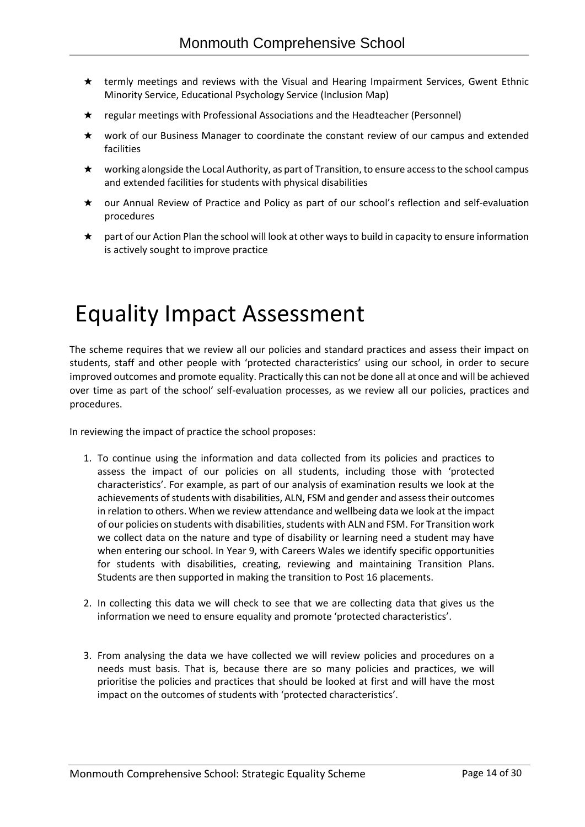- ★ termly meetings and reviews with the Visual and Hearing Impairment Services, Gwent Ethnic Minority Service, Educational Psychology Service (Inclusion Map)
- ★ regular meetings with Professional Associations and the Headteacher (Personnel)
- ★ work of our Business Manager to coordinate the constant review of our campus and extended facilities
- ★ working alongside the Local Authority, as part of Transition, to ensure access to the school campus and extended facilities for students with physical disabilities
- ★ our Annual Review of Practice and Policy as part of our school's reflection and self-evaluation procedures
- part of our Action Plan the school will look at other ways to build in capacity to ensure information is actively sought to improve practice

# Equality Impact Assessment

The scheme requires that we review all our policies and standard practices and assess their impact on students, staff and other people with 'protected characteristics' using our school, in order to secure improved outcomes and promote equality. Practically this can not be done all at once and will be achieved over time as part of the school' self-evaluation processes, as we review all our policies, practices and procedures.

In reviewing the impact of practice the school proposes:

- 1. To continue using the information and data collected from its policies and practices to assess the impact of our policies on all students, including those with 'protected characteristics'. For example, as part of our analysis of examination results we look at the achievements of students with disabilities, ALN, FSM and gender and assess their outcomes in relation to others. When we review attendance and wellbeing data we look at the impact of our policies on students with disabilities, students with ALN and FSM. For Transition work we collect data on the nature and type of disability or learning need a student may have when entering our school. In Year 9, with Careers Wales we identify specific opportunities for students with disabilities, creating, reviewing and maintaining Transition Plans. Students are then supported in making the transition to Post 16 placements.
- 2. In collecting this data we will check to see that we are collecting data that gives us the information we need to ensure equality and promote 'protected characteristics'.
- 3. From analysing the data we have collected we will review policies and procedures on a needs must basis. That is, because there are so many policies and practices, we will prioritise the policies and practices that should be looked at first and will have the most impact on the outcomes of students with 'protected characteristics'.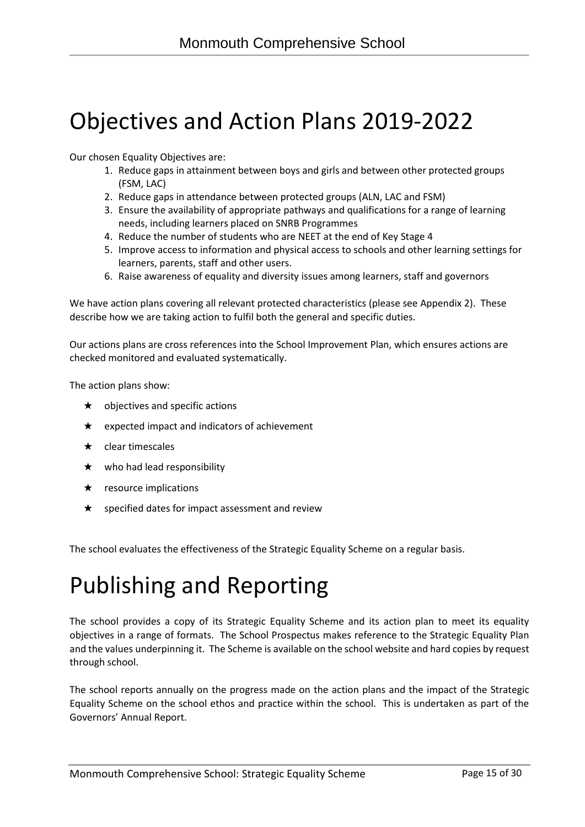# Objectives and Action Plans 2019-2022

Our chosen Equality Objectives are:

- 1. Reduce gaps in attainment between boys and girls and between other protected groups (FSM, LAC)
- 2. Reduce gaps in attendance between protected groups (ALN, LAC and FSM)
- 3. Ensure the availability of appropriate pathways and qualifications for a range of learning needs, including learners placed on SNRB Programmes
- 4. Reduce the number of students who are NEET at the end of Key Stage 4
- 5. Improve access to information and physical access to schools and other learning settings for learners, parents, staff and other users.
- 6. Raise awareness of equality and diversity issues among learners, staff and governors

We have action plans covering all relevant protected characteristics (please see Appendix 2). These describe how we are taking action to fulfil both the general and specific duties.

Our actions plans are cross references into the School Improvement Plan, which ensures actions are checked monitored and evaluated systematically.

The action plans show:

- $\star$  objectives and specific actions
- $\star$  expected impact and indicators of achievement
- $\star$  clear timescales
- $\star$  who had lead responsibility
- $\star$  resource implications
- $\star$  specified dates for impact assessment and review

The school evaluates the effectiveness of the Strategic Equality Scheme on a regular basis.

# Publishing and Reporting

The school provides a copy of its Strategic Equality Scheme and its action plan to meet its equality objectives in a range of formats. The School Prospectus makes reference to the Strategic Equality Plan and the values underpinning it. The Scheme is available on the school website and hard copies by request through school.

The school reports annually on the progress made on the action plans and the impact of the Strategic Equality Scheme on the school ethos and practice within the school. This is undertaken as part of the Governors' Annual Report.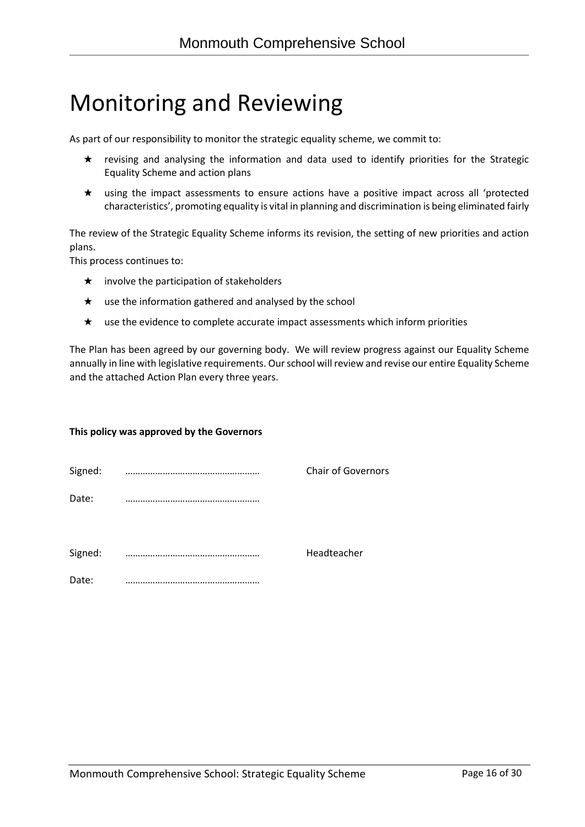## Monitoring and Reviewing

As part of our responsibility to monitor the strategic equality scheme, we commit to:

- ★ revising and analysing the information and data used to identify priorities for the Strategic Equality Scheme and action plans
- ★ using the impact assessments to ensure actions have a positive impact across all 'protected characteristics', promoting equality is vital in planning and discrimination is being eliminated fairly

The review of the Strategic Equality Scheme informs its revision, the setting of new priorities and action plans.

This process continues to:

- $\star$  involve the participation of stakeholders
- $\star$  use the information gathered and analysed by the school
- ★ use the evidence to complete accurate impact assessments which inform priorities

The Plan has been agreed by our governing body. We will review progress against our Equality Scheme annually in line with legislative requirements. Our school will review and revise our entire Equality Scheme and the attached Action Plan every three years.

#### **This policy was approved by the Governors**

| Signed: | <b>Chair of Governors</b> |
|---------|---------------------------|
| Date:   |                           |
| Signed: | Headteacher               |
| Date:   |                           |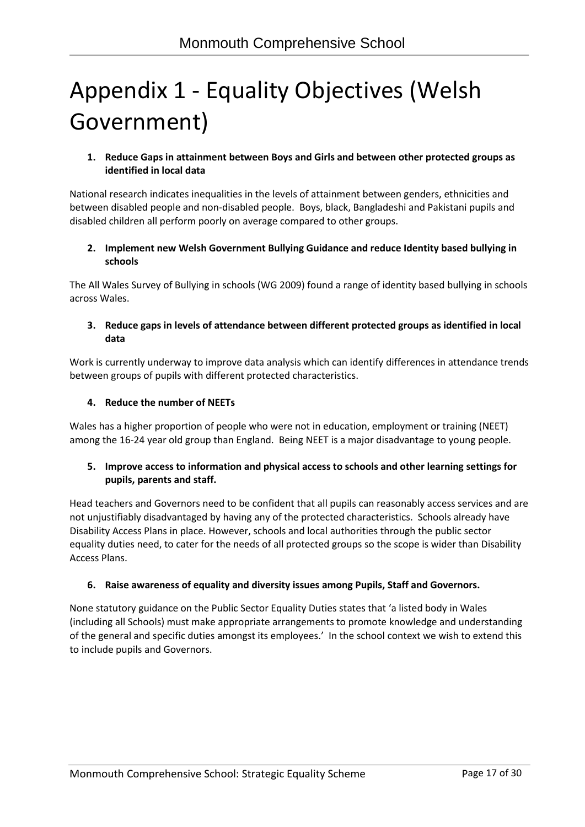# Appendix 1 - Equality Objectives (Welsh Government)

#### **1. Reduce Gaps in attainment between Boys and Girls and between other protected groups as identified in local data**

National research indicates inequalities in the levels of attainment between genders, ethnicities and between disabled people and non-disabled people. Boys, black, Bangladeshi and Pakistani pupils and disabled children all perform poorly on average compared to other groups.

#### **2. Implement new Welsh Government Bullying Guidance and reduce Identity based bullying in schools**

The All Wales Survey of Bullying in schools (WG 2009) found a range of identity based bullying in schools across Wales.

### **3. Reduce gaps in levels of attendance between different protected groups as identified in local data**

Work is currently underway to improve data analysis which can identify differences in attendance trends between groups of pupils with different protected characteristics.

### **4. Reduce the number of NEETs**

Wales has a higher proportion of people who were not in education, employment or training (NEET) among the 16-24 year old group than England. Being NEET is a major disadvantage to young people.

#### **5. Improve access to information and physical access to schools and other learning settings for pupils, parents and staff.**

Head teachers and Governors need to be confident that all pupils can reasonably access services and are not unjustifiably disadvantaged by having any of the protected characteristics. Schools already have Disability Access Plans in place. However, schools and local authorities through the public sector equality duties need, to cater for the needs of all protected groups so the scope is wider than Disability Access Plans.

#### **6. Raise awareness of equality and diversity issues among Pupils, Staff and Governors.**

None statutory guidance on the Public Sector Equality Duties states that 'a listed body in Wales (including all Schools) must make appropriate arrangements to promote knowledge and understanding of the general and specific duties amongst its employees.' In the school context we wish to extend this to include pupils and Governors.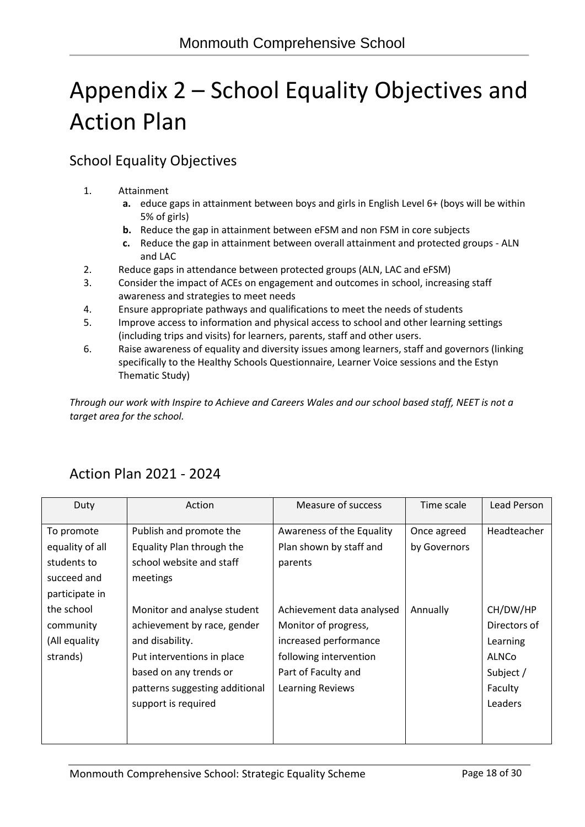# Appendix 2 – School Equality Objectives and Action Plan

### School Equality Objectives

- 1. Attainment
	- **a.** educe gaps in attainment between boys and girls in English Level 6+ (boys will be within 5% of girls)
	- **b.** Reduce the gap in attainment between eFSM and non FSM in core subjects
	- **c.** Reduce the gap in attainment between overall attainment and protected groups ALN and LAC
- 2. Reduce gaps in attendance between protected groups (ALN, LAC and eFSM)
- 3. Consider the impact of ACEs on engagement and outcomes in school, increasing staff awareness and strategies to meet needs
- 4. Ensure appropriate pathways and qualifications to meet the needs of students
- 5. Improve access to information and physical access to school and other learning settings (including trips and visits) for learners, parents, staff and other users.
- 6. Raise awareness of equality and diversity issues among learners, staff and governors (linking specifically to the Healthy Schools Questionnaire, Learner Voice sessions and the Estyn Thematic Study)

*Through our work with Inspire to Achieve and Careers Wales and our school based staff, NEET is not a target area for the school.*

| Duty            | Action                         | Measure of success        | Time scale   | Lead Person  |
|-----------------|--------------------------------|---------------------------|--------------|--------------|
| To promote      | Publish and promote the        | Awareness of the Equality | Once agreed  | Headteacher  |
| equality of all | Equality Plan through the      | Plan shown by staff and   | by Governors |              |
| students to     | school website and staff       | parents                   |              |              |
| succeed and     | meetings                       |                           |              |              |
| participate in  |                                |                           |              |              |
| the school      | Monitor and analyse student    | Achievement data analysed | Annually     | CH/DW/HP     |
| community       | achievement by race, gender    | Monitor of progress,      |              | Directors of |
| (All equality   | and disability.                | increased performance     |              | Learning     |
| strands)        | Put interventions in place     | following intervention    |              | ALNCo        |
|                 | based on any trends or         | Part of Faculty and       |              | Subject /    |
|                 | patterns suggesting additional | Learning Reviews          |              | Faculty      |
|                 | support is required            |                           |              | Leaders      |
|                 |                                |                           |              |              |
|                 |                                |                           |              |              |

### Action Plan 2021 - 2024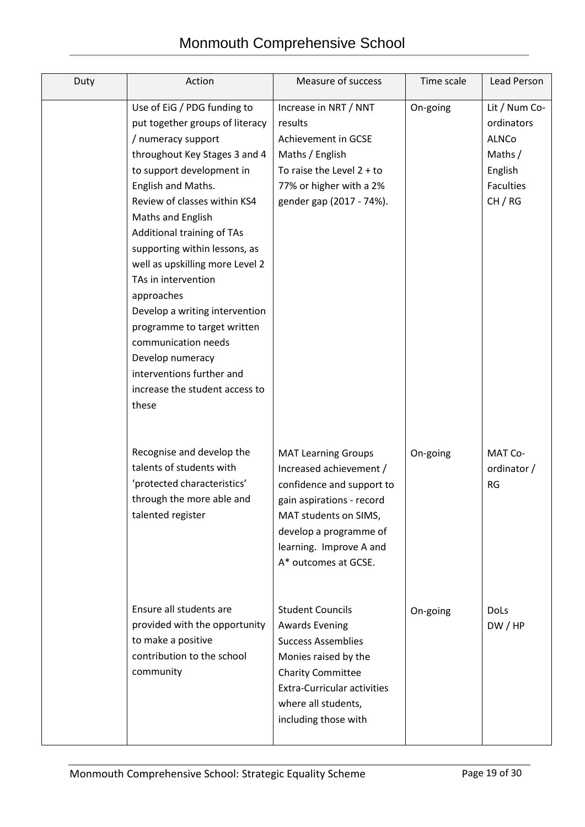| Duty | Action                                                                                                                                                                                                                                                                                                                                                                                                                                                                                                                                                   | Measure of success                                                                                                                                                                                                     | Time scale | <b>Lead Person</b>                                                                          |
|------|----------------------------------------------------------------------------------------------------------------------------------------------------------------------------------------------------------------------------------------------------------------------------------------------------------------------------------------------------------------------------------------------------------------------------------------------------------------------------------------------------------------------------------------------------------|------------------------------------------------------------------------------------------------------------------------------------------------------------------------------------------------------------------------|------------|---------------------------------------------------------------------------------------------|
|      | Use of EiG / PDG funding to<br>put together groups of literacy<br>/ numeracy support<br>throughout Key Stages 3 and 4<br>to support development in<br>English and Maths.<br>Review of classes within KS4<br>Maths and English<br>Additional training of TAs<br>supporting within lessons, as<br>well as upskilling more Level 2<br>TAs in intervention<br>approaches<br>Develop a writing intervention<br>programme to target written<br>communication needs<br>Develop numeracy<br>interventions further and<br>increase the student access to<br>these | Increase in NRT / NNT<br>results<br>Achievement in GCSE<br>Maths / English<br>To raise the Level $2 + to$<br>77% or higher with a 2%<br>gender gap (2017 - 74%).                                                       | On-going   | Lit / Num Co-<br>ordinators<br>ALNCo<br>Maths $/$<br>English<br><b>Faculties</b><br>CH / RG |
|      | Recognise and develop the<br>talents of students with<br>'protected characteristics'<br>through the more able and<br>talented register                                                                                                                                                                                                                                                                                                                                                                                                                   | <b>MAT Learning Groups</b><br>Increased achievement /<br>confidence and support to<br>gain aspirations - record<br>MAT students on SIMS,<br>develop a programme of<br>learning. Improve A and<br>A* outcomes at GCSE.  | On-going   | MAT Co-<br>ordinator /<br><b>RG</b>                                                         |
|      | Ensure all students are<br>provided with the opportunity<br>to make a positive<br>contribution to the school<br>community                                                                                                                                                                                                                                                                                                                                                                                                                                | <b>Student Councils</b><br><b>Awards Evening</b><br><b>Success Assemblies</b><br>Monies raised by the<br><b>Charity Committee</b><br><b>Extra-Curricular activities</b><br>where all students,<br>including those with | On-going   | <b>DoLs</b><br>DW/HP                                                                        |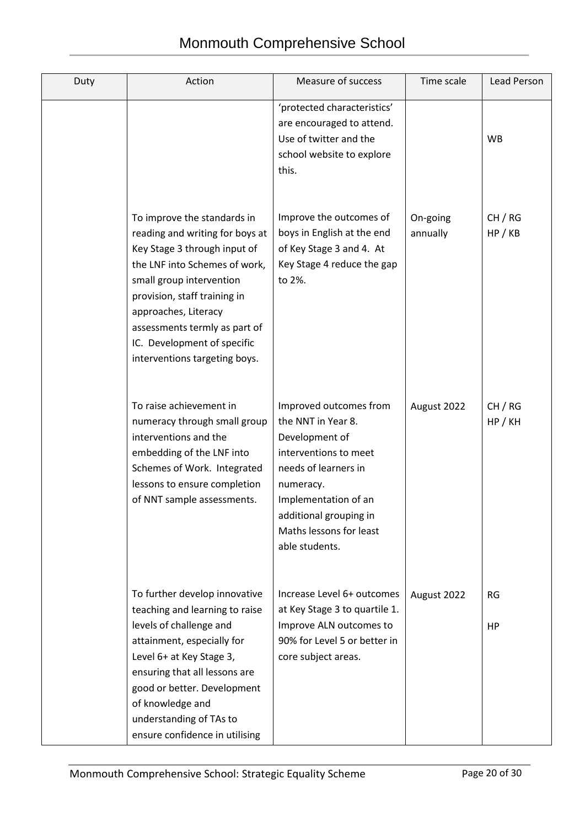| Duty | Action                                                                                                                                                                                                                                                                                                               | Measure of success                                                                                                                                                                                                          | Time scale           | Lead Person        |
|------|----------------------------------------------------------------------------------------------------------------------------------------------------------------------------------------------------------------------------------------------------------------------------------------------------------------------|-----------------------------------------------------------------------------------------------------------------------------------------------------------------------------------------------------------------------------|----------------------|--------------------|
|      |                                                                                                                                                                                                                                                                                                                      | 'protected characteristics'<br>are encouraged to attend.<br>Use of twitter and the<br>school website to explore<br>this.                                                                                                    |                      | <b>WB</b>          |
|      | To improve the standards in<br>reading and writing for boys at<br>Key Stage 3 through input of<br>the LNF into Schemes of work,<br>small group intervention<br>provision, staff training in<br>approaches, Literacy<br>assessments termly as part of<br>IC. Development of specific<br>interventions targeting boys. | Improve the outcomes of<br>boys in English at the end<br>of Key Stage 3 and 4. At<br>Key Stage 4 reduce the gap<br>to 2%.                                                                                                   | On-going<br>annually | CH / RG<br>HP / KB |
|      | To raise achievement in<br>numeracy through small group<br>interventions and the<br>embedding of the LNF into<br>Schemes of Work. Integrated<br>lessons to ensure completion<br>of NNT sample assessments.                                                                                                           | Improved outcomes from<br>the NNT in Year 8.<br>Development of<br>interventions to meet<br>needs of learners in<br>numeracy.<br>Implementation of an<br>additional grouping in<br>Maths lessons for least<br>able students. | August 2022          | CH / RG<br>HP/KH   |
|      | To further develop innovative<br>teaching and learning to raise<br>levels of challenge and<br>attainment, especially for<br>Level 6+ at Key Stage 3,<br>ensuring that all lessons are<br>good or better. Development<br>of knowledge and<br>understanding of TAs to<br>ensure confidence in utilising                | Increase Level 6+ outcomes<br>at Key Stage 3 to quartile 1.<br>Improve ALN outcomes to<br>90% for Level 5 or better in<br>core subject areas.                                                                               | August 2022          | <b>RG</b><br>HP    |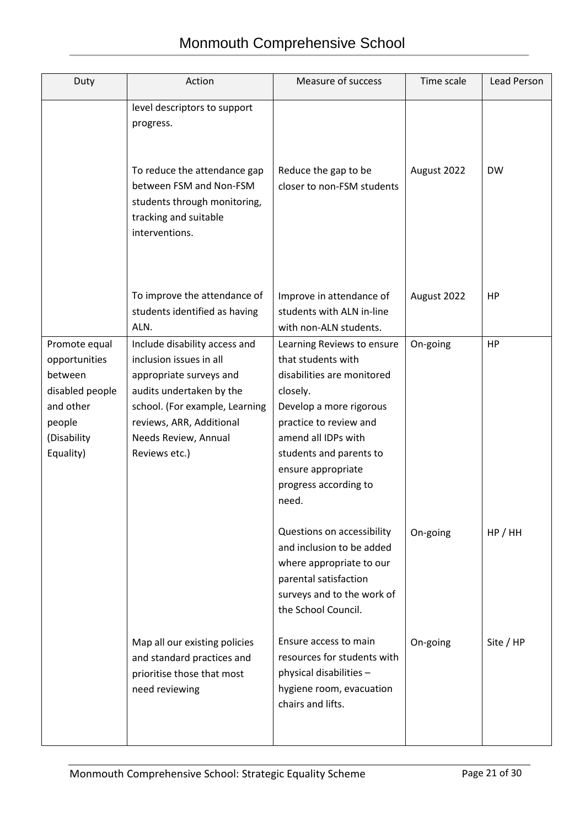| Duty                                                                                                            | Action                                                                                                                                                                                                                 | Measure of success                                                                                                                                                                                                                                        | Time scale  | Lead Person |
|-----------------------------------------------------------------------------------------------------------------|------------------------------------------------------------------------------------------------------------------------------------------------------------------------------------------------------------------------|-----------------------------------------------------------------------------------------------------------------------------------------------------------------------------------------------------------------------------------------------------------|-------------|-------------|
|                                                                                                                 | level descriptors to support<br>progress.<br>To reduce the attendance gap<br>between FSM and Non-FSM<br>students through monitoring,<br>tracking and suitable<br>interventions.                                        | Reduce the gap to be<br>closer to non-FSM students                                                                                                                                                                                                        | August 2022 | <b>DW</b>   |
|                                                                                                                 | To improve the attendance of<br>students identified as having<br>ALN.                                                                                                                                                  | Improve in attendance of<br>students with ALN in-line<br>with non-ALN students.                                                                                                                                                                           | August 2022 | HP          |
| Promote equal<br>opportunities<br>between<br>disabled people<br>and other<br>people<br>(Disability<br>Equality) | Include disability access and<br>inclusion issues in all<br>appropriate surveys and<br>audits undertaken by the<br>school. (For example, Learning<br>reviews, ARR, Additional<br>Needs Review, Annual<br>Reviews etc.) | Learning Reviews to ensure<br>that students with<br>disabilities are monitored<br>closely.<br>Develop a more rigorous<br>practice to review and<br>amend all IDPs with<br>students and parents to<br>ensure appropriate<br>progress according to<br>need. | On-going    | HP          |
|                                                                                                                 |                                                                                                                                                                                                                        | Questions on accessibility<br>and inclusion to be added<br>where appropriate to our<br>parental satisfaction<br>surveys and to the work of<br>the School Council.                                                                                         | On-going    | HP/HH       |
|                                                                                                                 | Map all our existing policies<br>and standard practices and<br>prioritise those that most<br>need reviewing                                                                                                            | Ensure access to main<br>resources for students with<br>physical disabilities -<br>hygiene room, evacuation<br>chairs and lifts.                                                                                                                          | On-going    | Site / HP   |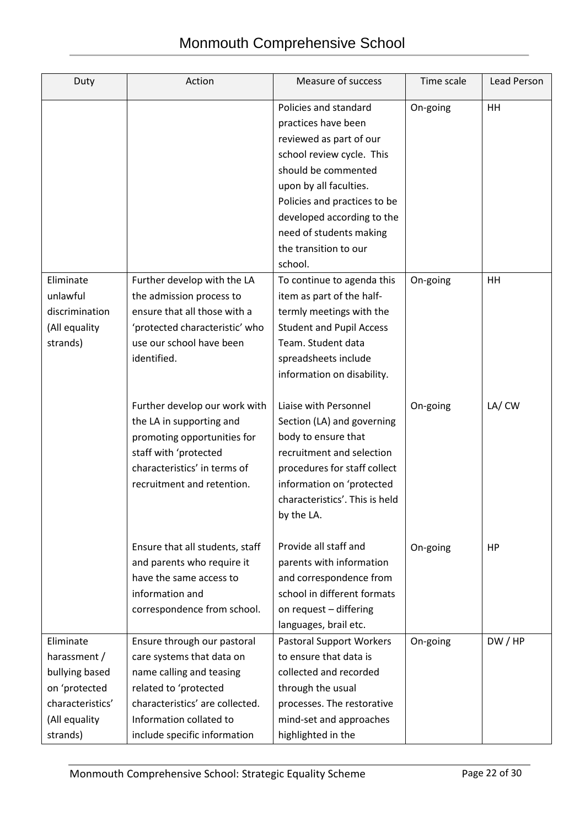| Duty                                                                                                          | Action                                                                                                                                                                                                      | Measure of success                                                                                                                                                                                                                                                                 | Time scale | <b>Lead Person</b> |
|---------------------------------------------------------------------------------------------------------------|-------------------------------------------------------------------------------------------------------------------------------------------------------------------------------------------------------------|------------------------------------------------------------------------------------------------------------------------------------------------------------------------------------------------------------------------------------------------------------------------------------|------------|--------------------|
|                                                                                                               |                                                                                                                                                                                                             | Policies and standard<br>practices have been<br>reviewed as part of our<br>school review cycle. This<br>should be commented<br>upon by all faculties.<br>Policies and practices to be<br>developed according to the<br>need of students making<br>the transition to our<br>school. | On-going   | HH                 |
| Eliminate<br>unlawful<br>discrimination<br>(All equality<br>strands)                                          | Further develop with the LA<br>the admission process to<br>ensure that all those with a<br>'protected characteristic' who<br>use our school have been<br>identified.                                        | To continue to agenda this<br>item as part of the half-<br>termly meetings with the<br><b>Student and Pupil Access</b><br>Team. Student data<br>spreadsheets include<br>information on disability.                                                                                 | On-going   | HH                 |
|                                                                                                               | Further develop our work with<br>the LA in supporting and<br>promoting opportunities for<br>staff with 'protected<br>characteristics' in terms of<br>recruitment and retention.                             | Liaise with Personnel<br>Section (LA) and governing<br>body to ensure that<br>recruitment and selection<br>procedures for staff collect<br>information on 'protected<br>characteristics'. This is held<br>by the LA.                                                               | On-going   | LA/CW              |
|                                                                                                               | Ensure that all students, staff<br>and parents who require it<br>have the same access to<br>information and<br>correspondence from school.                                                                  | Provide all staff and<br>parents with information<br>and correspondence from<br>school in different formats<br>on request - differing<br>languages, brail etc.                                                                                                                     | On-going   | HP                 |
| Eliminate<br>harassment /<br>bullying based<br>on 'protected<br>characteristics'<br>(All equality<br>strands) | Ensure through our pastoral<br>care systems that data on<br>name calling and teasing<br>related to 'protected<br>characteristics' are collected.<br>Information collated to<br>include specific information | <b>Pastoral Support Workers</b><br>to ensure that data is<br>collected and recorded<br>through the usual<br>processes. The restorative<br>mind-set and approaches<br>highlighted in the                                                                                            | On-going   | DW/HP              |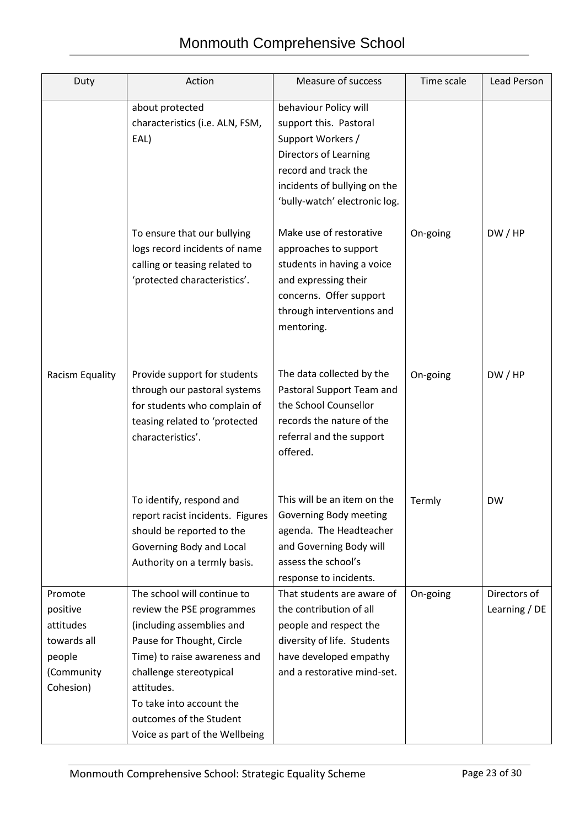| Duty                                                                                 | Action                                                                                                                                                                                                                                                                               | Measure of success                                                                                                                                                                     | Time scale | Lead Person                   |
|--------------------------------------------------------------------------------------|--------------------------------------------------------------------------------------------------------------------------------------------------------------------------------------------------------------------------------------------------------------------------------------|----------------------------------------------------------------------------------------------------------------------------------------------------------------------------------------|------------|-------------------------------|
|                                                                                      | about protected<br>characteristics (i.e. ALN, FSM,<br>EAL)                                                                                                                                                                                                                           | behaviour Policy will<br>support this. Pastoral<br>Support Workers /<br>Directors of Learning<br>record and track the<br>incidents of bullying on the<br>'bully-watch' electronic log. |            |                               |
|                                                                                      | To ensure that our bullying<br>logs record incidents of name<br>calling or teasing related to<br>'protected characteristics'.                                                                                                                                                        | Make use of restorative<br>approaches to support<br>students in having a voice<br>and expressing their<br>concerns. Offer support<br>through interventions and<br>mentoring.           | On-going   | DW/HP                         |
| Racism Equality                                                                      | Provide support for students<br>through our pastoral systems<br>for students who complain of<br>teasing related to 'protected<br>characteristics'.                                                                                                                                   | The data collected by the<br>Pastoral Support Team and<br>the School Counsellor<br>records the nature of the<br>referral and the support<br>offered.                                   | On-going   | DW/HP                         |
|                                                                                      | To identify, respond and<br>report racist incidents. Figures<br>should be reported to the<br>Governing Body and Local<br>Authority on a termly basis.                                                                                                                                | This will be an item on the<br>Governing Body meeting<br>agenda. The Headteacher<br>and Governing Body will<br>assess the school's<br>response to incidents.                           | Termly     | <b>DW</b>                     |
| Promote<br>positive<br>attitudes<br>towards all<br>people<br>(Community<br>Cohesion) | The school will continue to<br>review the PSE programmes<br>(including assemblies and<br>Pause for Thought, Circle<br>Time) to raise awareness and<br>challenge stereotypical<br>attitudes.<br>To take into account the<br>outcomes of the Student<br>Voice as part of the Wellbeing | That students are aware of<br>the contribution of all<br>people and respect the<br>diversity of life. Students<br>have developed empathy<br>and a restorative mind-set.                | On-going   | Directors of<br>Learning / DE |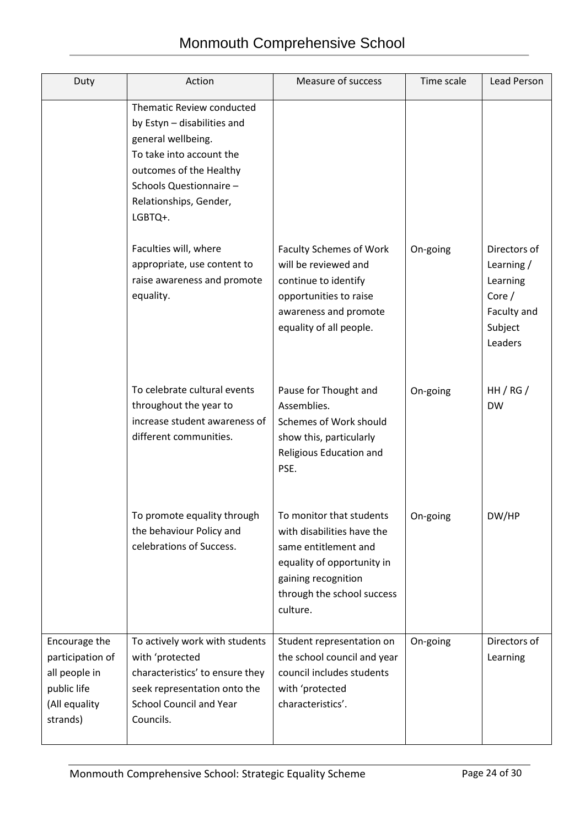| Duty                                                                                           | Action                                                                                                                                                                                                | Measure of success                                                                                                                                                            | Time scale | Lead Person                                                                            |
|------------------------------------------------------------------------------------------------|-------------------------------------------------------------------------------------------------------------------------------------------------------------------------------------------------------|-------------------------------------------------------------------------------------------------------------------------------------------------------------------------------|------------|----------------------------------------------------------------------------------------|
|                                                                                                | Thematic Review conducted<br>by Estyn - disabilities and<br>general wellbeing.<br>To take into account the<br>outcomes of the Healthy<br>Schools Questionnaire -<br>Relationships, Gender,<br>LGBTQ+. |                                                                                                                                                                               |            |                                                                                        |
|                                                                                                | Faculties will, where<br>appropriate, use content to<br>raise awareness and promote<br>equality.                                                                                                      | <b>Faculty Schemes of Work</b><br>will be reviewed and<br>continue to identify<br>opportunities to raise<br>awareness and promote<br>equality of all people.                  | On-going   | Directors of<br>Learning $/$<br>Learning<br>Core/<br>Faculty and<br>Subject<br>Leaders |
|                                                                                                | To celebrate cultural events<br>throughout the year to<br>increase student awareness of<br>different communities.                                                                                     | Pause for Thought and<br>Assemblies.<br>Schemes of Work should<br>show this, particularly<br>Religious Education and<br>PSE.                                                  | On-going   | HH/RG/<br><b>DW</b>                                                                    |
|                                                                                                | To promote equality through<br>the behaviour Policy and<br>celebrations of Success.                                                                                                                   | To monitor that students<br>with disabilities have the<br>same entitlement and<br>equality of opportunity in<br>gaining recognition<br>through the school success<br>culture. | On-going   | DW/HP                                                                                  |
| Encourage the<br>participation of<br>all people in<br>public life<br>(All equality<br>strands) | To actively work with students<br>with 'protected<br>characteristics' to ensure they<br>seek representation onto the<br><b>School Council and Year</b><br>Councils.                                   | Student representation on<br>the school council and year<br>council includes students<br>with 'protected<br>characteristics'.                                                 | On-going   | Directors of<br>Learning                                                               |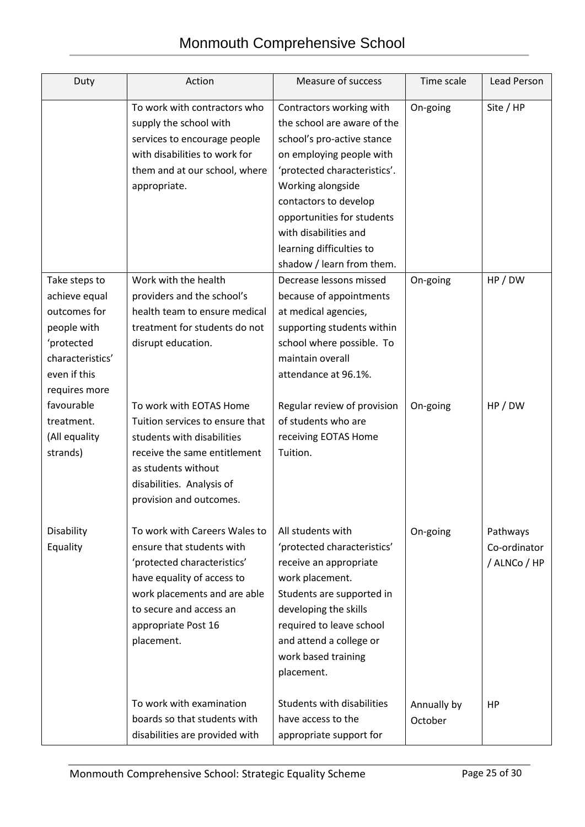## Monmouth Comprehensive School

| Duty                                                                                                                             | Action                                                                                                                                                                                                                  | Measure of success                                                                                                                                                                                                                                                                                              | Time scale             | Lead Person                              |
|----------------------------------------------------------------------------------------------------------------------------------|-------------------------------------------------------------------------------------------------------------------------------------------------------------------------------------------------------------------------|-----------------------------------------------------------------------------------------------------------------------------------------------------------------------------------------------------------------------------------------------------------------------------------------------------------------|------------------------|------------------------------------------|
|                                                                                                                                  | To work with contractors who<br>supply the school with<br>services to encourage people<br>with disabilities to work for<br>them and at our school, where<br>appropriate.                                                | Contractors working with<br>the school are aware of the<br>school's pro-active stance<br>on employing people with<br>'protected characteristics'.<br>Working alongside<br>contactors to develop<br>opportunities for students<br>with disabilities and<br>learning difficulties to<br>shadow / learn from them. | On-going               | Site / HP                                |
| Take steps to<br>achieve equal<br>outcomes for<br>people with<br>'protected<br>characteristics'<br>even if this<br>requires more | Work with the health<br>providers and the school's<br>health team to ensure medical<br>treatment for students do not<br>disrupt education.                                                                              | Decrease lessons missed<br>because of appointments<br>at medical agencies,<br>supporting students within<br>school where possible. To<br>maintain overall<br>attendance at 96.1%.                                                                                                                               | On-going               | HP / DW                                  |
| favourable<br>treatment.<br>(All equality<br>strands)                                                                            | To work with EOTAS Home<br>Tuition services to ensure that<br>students with disabilities<br>receive the same entitlement<br>as students without<br>disabilities. Analysis of<br>provision and outcomes.                 | Regular review of provision<br>of students who are<br>receiving EOTAS Home<br>Tuition.                                                                                                                                                                                                                          | On-going               | HP / DW                                  |
| Disability<br>Equality                                                                                                           | To work with Careers Wales to<br>ensure that students with<br>'protected characteristics'<br>have equality of access to<br>work placements and are able<br>to secure and access an<br>appropriate Post 16<br>placement. | All students with<br>'protected characteristics'<br>receive an appropriate<br>work placement.<br>Students are supported in<br>developing the skills<br>required to leave school<br>and attend a college or<br>work based training<br>placement.                                                                 | On-going               | Pathways<br>Co-ordinator<br>/ ALNCo / HP |
|                                                                                                                                  | To work with examination<br>boards so that students with<br>disabilities are provided with                                                                                                                              | Students with disabilities<br>have access to the<br>appropriate support for                                                                                                                                                                                                                                     | Annually by<br>October | <b>HP</b>                                |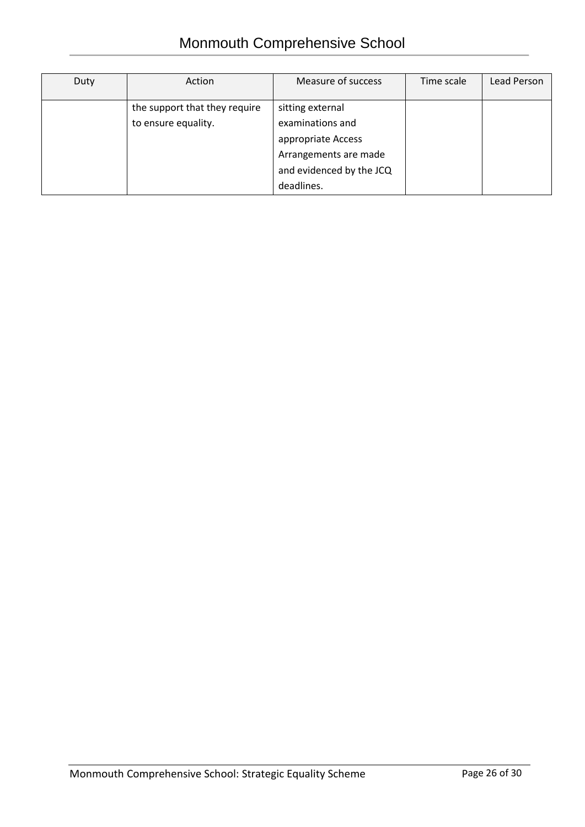| Duty | Action                                               | Measure of success                                                                                                            | Time scale | Lead Person |
|------|------------------------------------------------------|-------------------------------------------------------------------------------------------------------------------------------|------------|-------------|
|      | the support that they require<br>to ensure equality. | sitting external<br>examinations and<br>appropriate Access<br>Arrangements are made<br>and evidenced by the JCQ<br>deadlines. |            |             |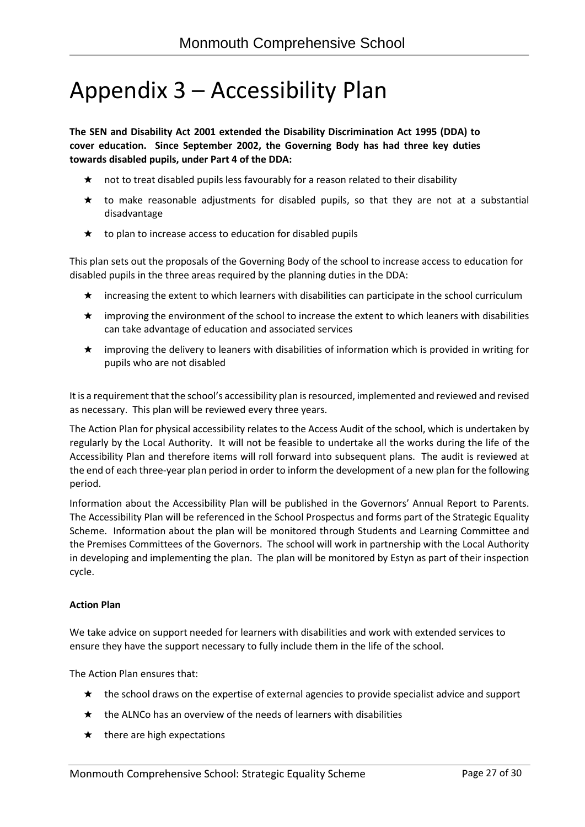## Appendix 3 – Accessibility Plan

**The SEN and Disability Act 2001 extended the Disability Discrimination Act 1995 (DDA) to cover education. Since September 2002, the Governing Body has had three key duties towards disabled pupils, under Part 4 of the DDA:**

- ★ not to treat disabled pupils less favourably for a reason related to their disability
- $\star$  to make reasonable adjustments for disabled pupils, so that they are not at a substantial disadvantage
- $\star$  to plan to increase access to education for disabled pupils

This plan sets out the proposals of the Governing Body of the school to increase access to education for disabled pupils in the three areas required by the planning duties in the DDA:

- ★ increasing the extent to which learners with disabilities can participate in the school curriculum
- ★ improving the environment of the school to increase the extent to which leaners with disabilities can take advantage of education and associated services
- ★ improving the delivery to leaners with disabilities of information which is provided in writing for pupils who are not disabled

It is a requirement that the school's accessibility plan is resourced, implemented and reviewed and revised as necessary. This plan will be reviewed every three years.

The Action Plan for physical accessibility relates to the Access Audit of the school, which is undertaken by regularly by the Local Authority. It will not be feasible to undertake all the works during the life of the Accessibility Plan and therefore items will roll forward into subsequent plans. The audit is reviewed at the end of each three-year plan period in order to inform the development of a new plan for the following period.

Information about the Accessibility Plan will be published in the Governors' Annual Report to Parents. The Accessibility Plan will be referenced in the School Prospectus and forms part of the Strategic Equality Scheme. Information about the plan will be monitored through Students and Learning Committee and the Premises Committees of the Governors. The school will work in partnership with the Local Authority in developing and implementing the plan. The plan will be monitored by Estyn as part of their inspection cycle.

#### **Action Plan**

We take advice on support needed for learners with disabilities and work with extended services to ensure they have the support necessary to fully include them in the life of the school.

The Action Plan ensures that:

- ★ the school draws on the expertise of external agencies to provide specialist advice and support
- $\star$  the ALNCo has an overview of the needs of learners with disabilities
- $\star$  there are high expectations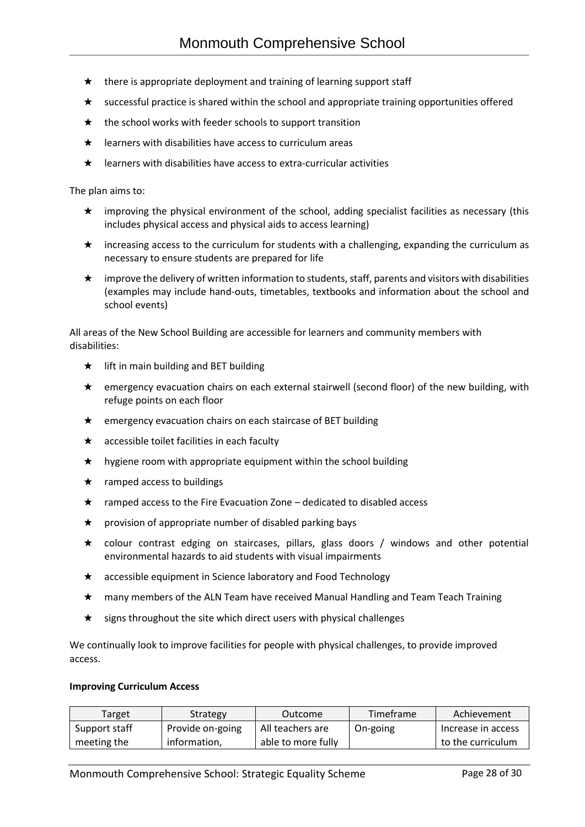- $\star$  there is appropriate deployment and training of learning support staff
- ★ successful practice is shared within the school and appropriate training opportunities offered
- $\star$  the school works with feeder schools to support transition
- $\star$  learners with disabilities have access to curriculum areas
- $\star$  learners with disabilities have access to extra-curricular activities

The plan aims to:

- ★ improving the physical environment of the school, adding specialist facilities as necessary (this includes physical access and physical aids to access learning)
- $\star$  increasing access to the curriculum for students with a challenging, expanding the curriculum as necessary to ensure students are prepared for life
- $\star$  improve the delivery of written information to students, staff, parents and visitors with disabilities (examples may include hand-outs, timetables, textbooks and information about the school and school events)

All areas of the New School Building are accessible for learners and community members with disabilities:

- $\star$  lift in main building and BET building
- ★ emergency evacuation chairs on each external stairwell (second floor) of the new building, with refuge points on each floor
- ★ emergency evacuation chairs on each staircase of BET building
- $\star$  accessible toilet facilities in each faculty
- $\star$  hygiene room with appropriate equipment within the school building
- $\star$  ramped access to buildings
- ★ ramped access to the Fire Evacuation Zone dedicated to disabled access
- $\star$  provision of appropriate number of disabled parking bays
- ★ colour contrast edging on staircases, pillars, glass doors / windows and other potential environmental hazards to aid students with visual impairments
- ★ accessible equipment in Science laboratory and Food Technology
- ★ many members of the ALN Team have received Manual Handling and Team Teach Training
- $\star$  signs throughout the site which direct users with physical challenges

We continually look to improve facilities for people with physical challenges, to provide improved access.

#### **Improving Curriculum Access**

| Target        | Strategy         | Outcome            | Timeframe | Achievement          |
|---------------|------------------|--------------------|-----------|----------------------|
| Support staff | Provide on-going | All teachers are   | On-going  | l Increase in access |
| meeting the   | information.     | able to more fully |           | to the curriculum    |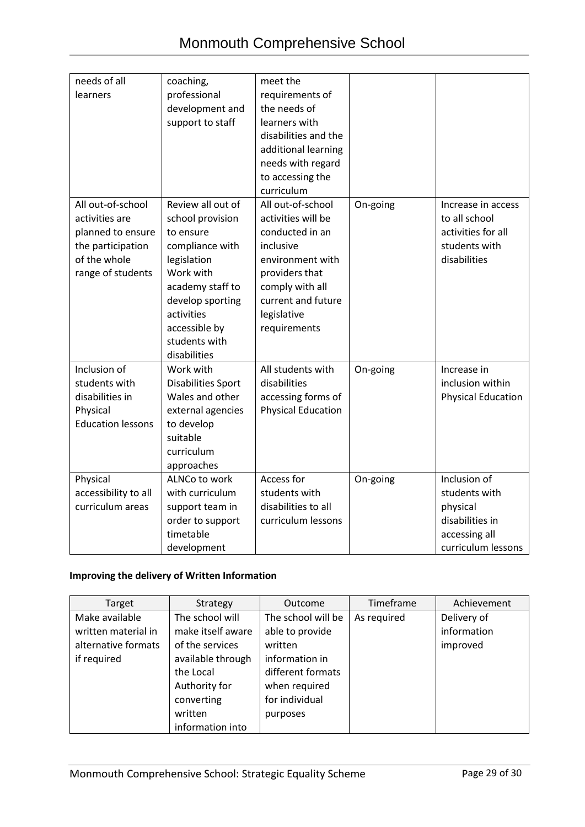| needs of all<br>learners                                                                                           | coaching,<br>professional<br>development and<br>support to staff                                                                                                                                          | meet the<br>requirements of<br>the needs of<br>learners with<br>disabilities and the<br>additional learning<br>needs with regard<br>to accessing the<br>curriculum                    |          |                                                                                                     |
|--------------------------------------------------------------------------------------------------------------------|-----------------------------------------------------------------------------------------------------------------------------------------------------------------------------------------------------------|---------------------------------------------------------------------------------------------------------------------------------------------------------------------------------------|----------|-----------------------------------------------------------------------------------------------------|
| All out-of-school<br>activities are<br>planned to ensure<br>the participation<br>of the whole<br>range of students | Review all out of<br>school provision<br>to ensure<br>compliance with<br>legislation<br>Work with<br>academy staff to<br>develop sporting<br>activities<br>accessible by<br>students with<br>disabilities | All out-of-school<br>activities will be<br>conducted in an<br>inclusive<br>environment with<br>providers that<br>comply with all<br>current and future<br>legislative<br>requirements | On-going | Increase in access<br>to all school<br>activities for all<br>students with<br>disabilities          |
| Inclusion of<br>students with<br>disabilities in<br>Physical<br><b>Education lessons</b>                           | Work with<br><b>Disabilities Sport</b><br>Wales and other<br>external agencies<br>to develop<br>suitable<br>curriculum<br>approaches                                                                      | All students with<br>disabilities<br>accessing forms of<br><b>Physical Education</b>                                                                                                  | On-going | Increase in<br>inclusion within<br><b>Physical Education</b>                                        |
| Physical<br>accessibility to all<br>curriculum areas                                                               | ALNCo to work<br>with curriculum<br>support team in<br>order to support<br>timetable<br>development                                                                                                       | Access for<br>students with<br>disabilities to all<br>curriculum lessons                                                                                                              | On-going | Inclusion of<br>students with<br>physical<br>disabilities in<br>accessing all<br>curriculum lessons |

### **Improving the delivery of Written Information**

| Target              | Strategy          | Outcome            | Timeframe   | Achievement |
|---------------------|-------------------|--------------------|-------------|-------------|
| Make available      | The school will   | The school will be | As required | Delivery of |
| written material in | make itself aware | able to provide    |             | information |
| alternative formats | of the services   | written            |             | improved    |
| if required         | available through | information in     |             |             |
|                     | the Local         | different formats  |             |             |
|                     | Authority for     | when required      |             |             |
|                     | converting        | for individual     |             |             |
|                     | written           | purposes           |             |             |
|                     | information into  |                    |             |             |